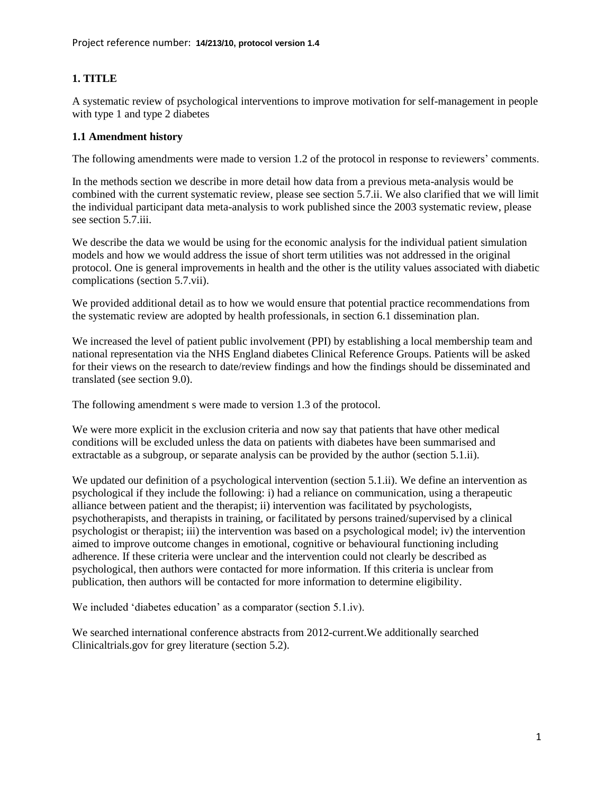# **1. TITLE**

A systematic review of psychological interventions to improve motivation for self-management in people with type 1 and type 2 diabetes

### **1.1 Amendment history**

The following amendments were made to version 1.2 of the protocol in response to reviewers' comments.

In the methods section we describe in more detail how data from a previous meta-analysis would be combined with the current systematic review, please see section 5.7.ii. We also clarified that we will limit the individual participant data meta-analysis to work published since the 2003 systematic review, please see section 5.7.iii.

We describe the data we would be using for the economic analysis for the individual patient simulation models and how we would address the issue of short term utilities was not addressed in the original protocol. One is general improvements in health and the other is the utility values associated with diabetic complications (section 5.7.vii).

We provided additional detail as to how we would ensure that potential practice recommendations from the systematic review are adopted by health professionals, in section 6.1 dissemination plan.

We increased the level of patient public involvement (PPI) by establishing a local membership team and national representation via the NHS England diabetes Clinical Reference Groups. Patients will be asked for their views on the research to date/review findings and how the findings should be disseminated and translated (see section 9.0).

The following amendment s were made to version 1.3 of the protocol.

We were more explicit in the exclusion criteria and now say that patients that have other medical conditions will be excluded unless the data on patients with diabetes have been summarised and extractable as a subgroup, or separate analysis can be provided by the author (section 5.1.ii).

We updated our definition of a psychological intervention (section 5.1.ii). We define an intervention as psychological if they include the following: i) had a reliance on communication, using a therapeutic alliance between patient and the therapist; ii) intervention was facilitated by psychologists, psychotherapists, and therapists in training, or facilitated by persons trained/supervised by a clinical psychologist or therapist; iii) the intervention was based on a psychological model; iv) the intervention aimed to improve outcome changes in emotional, cognitive or behavioural functioning including adherence. If these criteria were unclear and the intervention could not clearly be described as psychological, then authors were contacted for more information. If this criteria is unclear from publication, then authors will be contacted for more information to determine eligibility.

We included 'diabetes education' as a comparator (section 5.1.iv).

We searched international conference abstracts from 2012-current.We additionally searched Clinicaltrials.gov for grey literature (section 5.2).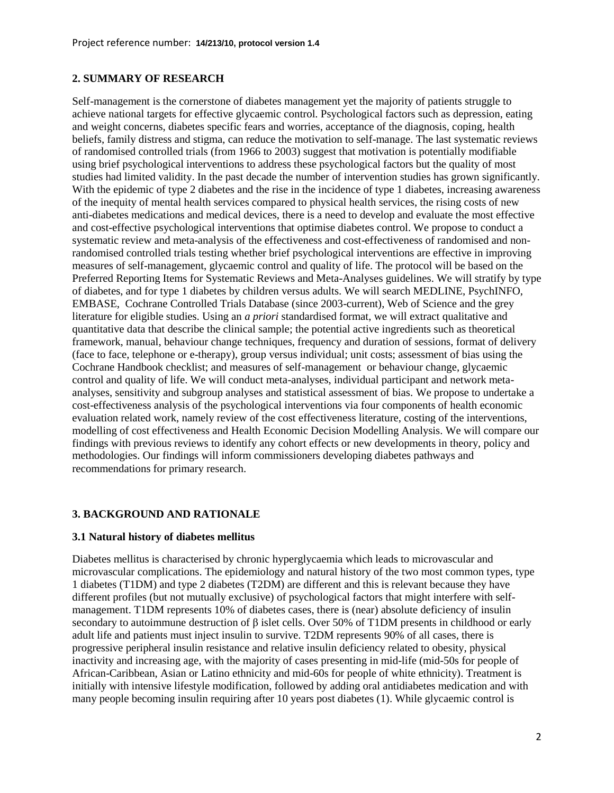#### **2. SUMMARY OF RESEARCH**

Self-management is the cornerstone of diabetes management yet the majority of patients struggle to achieve national targets for effective glycaemic control. Psychological factors such as depression, eating and weight concerns, diabetes specific fears and worries, acceptance of the diagnosis, coping, health beliefs, family distress and stigma, can reduce the motivation to self-manage. The last systematic reviews of randomised controlled trials (from 1966 to 2003) suggest that motivation is potentially modifiable using brief psychological interventions to address these psychological factors but the quality of most studies had limited validity. In the past decade the number of intervention studies has grown significantly. With the epidemic of type 2 diabetes and the rise in the incidence of type 1 diabetes, increasing awareness of the inequity of mental health services compared to physical health services, the rising costs of new anti-diabetes medications and medical devices, there is a need to develop and evaluate the most effective and cost-effective psychological interventions that optimise diabetes control. We propose to conduct a systematic review and meta-analysis of the effectiveness and cost-effectiveness of randomised and nonrandomised controlled trials testing whether brief psychological interventions are effective in improving measures of self-management, glycaemic control and quality of life. The protocol will be based on the Preferred Reporting Items for Systematic Reviews and Meta-Analyses guidelines. We will stratify by type of diabetes, and for type 1 diabetes by children versus adults. We will search MEDLINE, PsychINFO, EMBASE, Cochrane Controlled Trials Database (since 2003-current), Web of Science and the grey literature for eligible studies. Using an *a priori* standardised format, we will extract qualitative and quantitative data that describe the clinical sample; the potential active ingredients such as theoretical framework, manual, behaviour change techniques, frequency and duration of sessions, format of delivery (face to face, telephone or e-therapy), group versus individual; unit costs; assessment of bias using the Cochrane Handbook checklist; and measures of self-management or behaviour change, glycaemic control and quality of life. We will conduct meta-analyses, individual participant and network metaanalyses, sensitivity and subgroup analyses and statistical assessment of bias. We propose to undertake a cost-effectiveness analysis of the psychological interventions via four components of health economic evaluation related work, namely review of the cost effectiveness literature, costing of the interventions, modelling of cost effectiveness and Health Economic Decision Modelling Analysis. We will compare our findings with previous reviews to identify any cohort effects or new developments in theory, policy and methodologies. Our findings will inform commissioners developing diabetes pathways and recommendations for primary research.

### **3. BACKGROUND AND RATIONALE**

### **3.1 Natural history of diabetes mellitus**

Diabetes mellitus is characterised by chronic hyperglycaemia which leads to microvascular and microvascular complications. The epidemiology and natural history of the two most common types, type 1 diabetes (T1DM) and type 2 diabetes (T2DM) are different and this is relevant because they have different profiles (but not mutually exclusive) of psychological factors that might interfere with selfmanagement. T1DM represents 10% of diabetes cases, there is (near) absolute deficiency of insulin secondary to autoimmune destruction of β islet cells. Over 50% of T1DM presents in childhood or early adult life and patients must inject insulin to survive. T2DM represents 90% of all cases, there is progressive peripheral insulin resistance and relative insulin deficiency related to obesity, physical inactivity and increasing age, with the majority of cases presenting in mid-life (mid-50s for people of African-Caribbean, Asian or Latino ethnicity and mid-60s for people of white ethnicity). Treatment is initially with intensive lifestyle modification, followed by adding oral antidiabetes medication and with many people becoming insulin requiring after 10 years post diabetes [\(1\)](#page-20-0). While glycaemic control is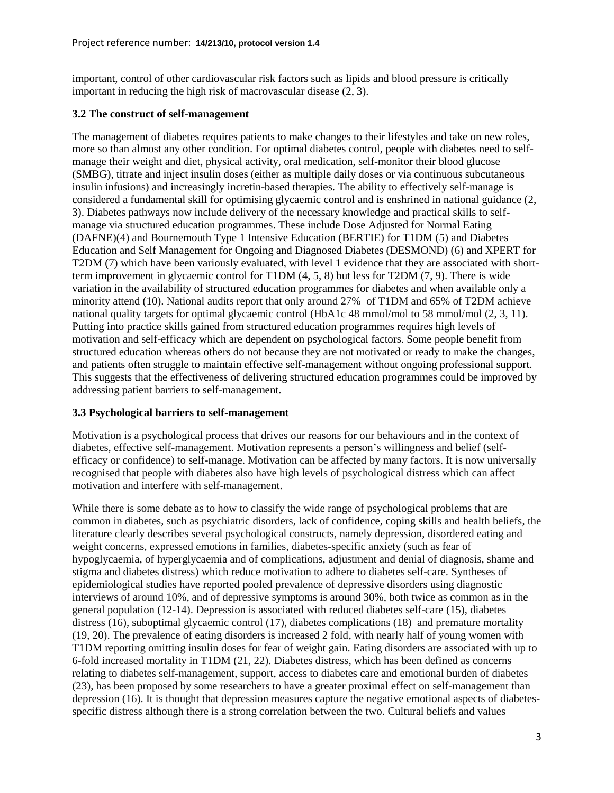important, control of other cardiovascular risk factors such as lipids and blood pressure is critically important in reducing the high risk of macrovascular disease [\(2,](#page-20-1) [3\)](#page-20-2).

### **3.2 The construct of self-management**

The management of diabetes requires patients to make changes to their lifestyles and take on new roles, more so than almost any other condition. For optimal diabetes control, people with diabetes need to selfmanage their weight and diet, physical activity, oral medication, self-monitor their blood glucose (SMBG), titrate and inject insulin doses (either as multiple daily doses or via continuous subcutaneous insulin infusions) and increasingly incretin-based therapies. The ability to effectively self-manage is considered a fundamental skill for optimising glycaemic control and is enshrined in national guidance [\(2,](#page-20-1) [3\)](#page-20-2). Diabetes pathways now include delivery of the necessary knowledge and practical skills to selfmanage via structured education programmes. These include Dose Adjusted for Normal Eating (DAFNE)[\(4\)](#page-20-3) and Bournemouth Type 1 Intensive Education (BERTIE) for T1DM [\(5\)](#page-20-4) and Diabetes Education and Self Management for Ongoing and Diagnosed Diabetes (DESMOND) [\(6\)](#page-20-5) and XPERT for T2DM [\(7\)](#page-20-6) which have been variously evaluated, with level 1 evidence that they are associated with shortterm improvement in glycaemic control for T1DM [\(4,](#page-20-3) [5,](#page-20-4) [8\)](#page-20-7) but less for T2DM [\(7,](#page-20-6) [9\)](#page-20-8). There is wide variation in the availability of structured education programmes for diabetes and when available only a minority attend [\(10\)](#page-20-9). National audits report that only around 27% of T1DM and 65% of T2DM achieve national quality targets for optimal glycaemic control (HbA1c 48 mmol/mol to 58 mmol/mol [\(2,](#page-20-1) [3,](#page-20-2) [11\)](#page-20-10). Putting into practice skills gained from structured education programmes requires high levels of motivation and self-efficacy which are dependent on psychological factors. Some people benefit from structured education whereas others do not because they are not motivated or ready to make the changes, and patients often struggle to maintain effective self-management without ongoing professional support. This suggests that the effectiveness of delivering structured education programmes could be improved by addressing patient barriers to self-management.

### **3.3 Psychological barriers to self-management**

Motivation is a psychological process that drives our reasons for our behaviours and in the context of diabetes, effective self-management. Motivation represents a person's willingness and belief (selfefficacy or confidence) to self-manage. Motivation can be affected by many factors. It is now universally recognised that people with diabetes also have high levels of psychological distress which can affect motivation and interfere with self-management.

While there is some debate as to how to classify the wide range of psychological problems that are common in diabetes, such as psychiatric disorders, lack of confidence, coping skills and health beliefs, the literature clearly describes several psychological constructs, namely depression, disordered eating and weight concerns, expressed emotions in families, diabetes-specific anxiety (such as fear of hypoglycaemia, of hyperglycaemia and of complications, adjustment and denial of diagnosis, shame and stigma and diabetes distress) which reduce motivation to adhere to diabetes self-care. Syntheses of epidemiological studies have reported pooled prevalence of depressive disorders using diagnostic interviews of around 10%, and of depressive symptoms is around 30%, both twice as common as in the general population [\(12-14\)](#page-20-11). Depression is associated with reduced diabetes self-care [\(15\)](#page-20-12), diabetes distress [\(16\)](#page-20-13), suboptimal glycaemic control [\(17\)](#page-20-14), diabetes complications [\(18\)](#page-21-0) and premature mortality [\(19,](#page-21-1) [20\)](#page-21-2). The prevalence of eating disorders is increased 2 fold, with nearly half of young women with T1DM reporting omitting insulin doses for fear of weight gain. Eating disorders are associated with up to 6-fold increased mortality in T1DM [\(21,](#page-21-3) [22\)](#page-21-4). Diabetes distress, which has been defined as concerns relating to diabetes self-management, support, access to diabetes care and emotional burden of diabetes [\(23\)](#page-21-5), has been proposed by some researchers to have a greater proximal effect on self-management than depression [\(16\)](#page-20-13). It is thought that depression measures capture the negative emotional aspects of diabetesspecific distress although there is a strong correlation between the two. Cultural beliefs and values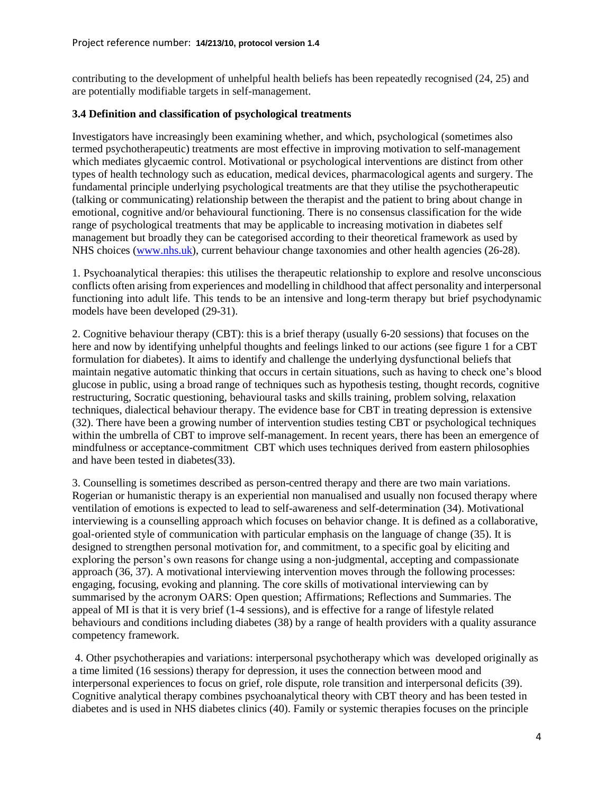contributing to the development of unhelpful health beliefs has been repeatedly recognised [\(24,](#page-21-6) [25\)](#page-21-7) and are potentially modifiable targets in self-management.

#### **3.4 Definition and classification of psychological treatments**

Investigators have increasingly been examining whether, and which, psychological (sometimes also termed psychotherapeutic) treatments are most effective in improving motivation to self-management which mediates glycaemic control. Motivational or psychological interventions are distinct from other types of health technology such as education, medical devices, pharmacological agents and surgery. The fundamental principle underlying psychological treatments are that they utilise the psychotherapeutic (talking or communicating) relationship between the therapist and the patient to bring about change in emotional, cognitive and/or behavioural functioning. There is no consensus classification for the wide range of psychological treatments that may be applicable to increasing motivation in diabetes self management but broadly they can be categorised according to their theoretical framework as used by NHS choices [\(www.nhs.uk\)](http://www.nhs.uk/), current behaviour change taxonomies and other health agencies [\(26-28\)](#page-21-8).

1. Psychoanalytical therapies: this utilises the therapeutic relationship to explore and resolve unconscious conflicts often arising from experiences and modelling in childhood that affect personality and interpersonal functioning into adult life. This tends to be an intensive and long-term therapy but brief psychodynamic models have been developed [\(29-31\)](#page-21-9).

2. Cognitive behaviour therapy (CBT): this is a brief therapy (usually 6-20 sessions) that focuses on the here and now by identifying unhelpful thoughts and feelings linked to our actions (see figure 1 for a CBT formulation for diabetes). It aims to identify and challenge the underlying dysfunctional beliefs that maintain negative automatic thinking that occurs in certain situations, such as having to check one's blood glucose in public, using a broad range of techniques such as hypothesis testing, thought records, cognitive restructuring, Socratic questioning, behavioural tasks and skills training, problem solving, relaxation techniques, dialectical behaviour therapy. The evidence base for CBT in treating depression is extensive [\(32\)](#page-21-10). There have been a growing number of intervention studies testing CBT or psychological techniques within the umbrella of CBT to improve self-management. In recent years, there has been an emergence of mindfulness or acceptance-commitment CBT which uses techniques derived from eastern philosophies and have been tested in diabetes[\(33\)](#page-21-11).

3. Counselling is sometimes described as person-centred therapy and there are two main variations. Rogerian or humanistic therapy is an experiential non manualised and usually non focused therapy where ventilation of emotions is expected to lead to self-awareness and self-determination [\(34\)](#page-21-12). Motivational interviewing is a counselling approach which focuses on behavior change. It is defined as a collaborative, goal-oriented style of communication with particular emphasis on the language of change [\(35\)](#page-21-13). It is designed to strengthen personal motivation for, and commitment, to a specific goal by eliciting and exploring the person's own reasons for change using a non-judgmental, accepting and compassionate approach [\(36,](#page-21-14) [37\)](#page-21-15). A motivational interviewing intervention moves through the following processes: engaging, focusing, evoking and planning. The core skills of motivational interviewing can by summarised by the acronym OARS: Open question; Affirmations; Reflections and Summaries. The appeal of MI is that it is very brief (1-4 sessions), and is effective for a range of lifestyle related behaviours and conditions including diabetes [\(38\)](#page-21-16) by a range of health providers with a quality assurance competency framework.

4. Other psychotherapies and variations: interpersonal psychotherapy which was developed originally as a time limited (16 sessions) therapy for depression, it uses the connection between mood and interpersonal experiences to focus on grief, role dispute, role transition and interpersonal deficits [\(39\)](#page-21-17). Cognitive analytical therapy combines psychoanalytical theory with CBT theory and has been tested in diabetes and is used in NHS diabetes clinics [\(40\)](#page-22-0). Family or systemic therapies focuses on the principle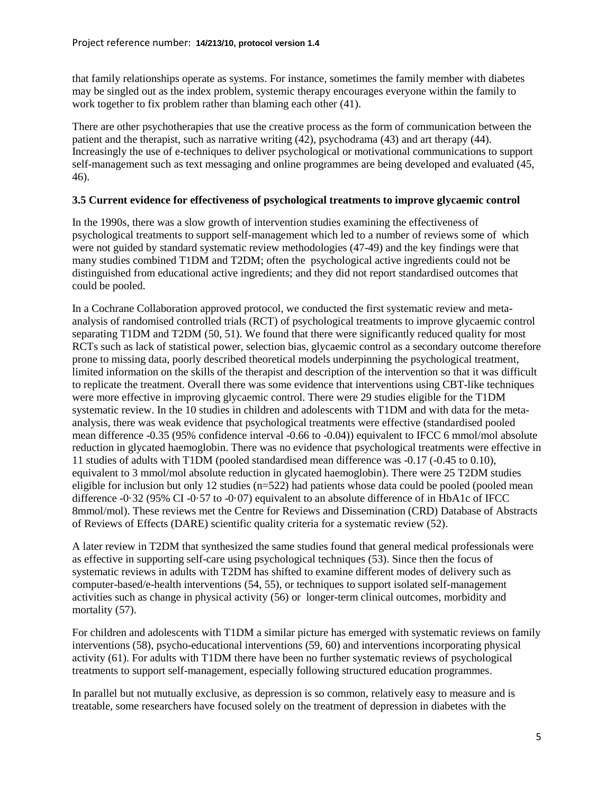that family relationships operate as systems. For instance, sometimes the family member with diabetes may be singled out as the index problem, systemic therapy encourages everyone within the family to work together to fix problem rather than blaming each other [\(41\)](#page-22-1).

There are other psychotherapies that use the creative process as the form of communication between the patient and the therapist, such as narrative writing [\(42\)](#page-22-2), psychodrama [\(43\)](#page-22-3) and art therapy [\(44\)](#page-22-4). Increasingly the use of e-techniques to deliver psychological or motivational communications to support self-management such as text messaging and online programmes are being developed and evaluated [\(45,](#page-22-5) [46\)](#page-22-6).

### **3.5 Current evidence for effectiveness of psychological treatments to improve glycaemic control**

In the 1990s, there was a slow growth of intervention studies examining the effectiveness of psychological treatments to support self-management which led to a number of reviews some of which were not guided by standard systematic review methodologies [\(47-49\)](#page-22-7) and the key findings were that many studies combined T1DM and T2DM; often the psychological active ingredients could not be distinguished from educational active ingredients; and they did not report standardised outcomes that could be pooled.

In a Cochrane Collaboration approved protocol, we conducted the first systematic review and metaanalysis of randomised controlled trials (RCT) of psychological treatments to improve glycaemic control separating T1DM and T2DM [\(50,](#page-22-8) [51\)](#page-22-9). We found that there were significantly reduced quality for most RCTs such as lack of statistical power, selection bias, glycaemic control as a secondary outcome therefore prone to missing data, poorly described theoretical models underpinning the psychological treatment, limited information on the skills of the therapist and description of the intervention so that it was difficult to replicate the treatment. Overall there was some evidence that interventions using CBT-like techniques were more effective in improving glycaemic control. There were 29 studies eligible for the T1DM systematic review. In the 10 studies in children and adolescents with T1DM and with data for the metaanalysis, there was weak evidence that psychological treatments were effective (standardised pooled mean difference -0.35 (95% confidence interval -0.66 to -0.04)) equivalent to IFCC 6 mmol/mol absolute reduction in glycated haemoglobin. There was no evidence that psychological treatments were effective in 11 studies of adults with T1DM (pooled standardised mean difference was -0.17 (-0.45 to 0.10), equivalent to 3 mmol/mol absolute reduction in glycated haemoglobin). There were 25 T2DM studies eligible for inclusion but only 12 studies  $(n=522)$  had patients whose data could be pooled (pooled mean difference -0·32 (95% CI -0·57 to -0·07) equivalent to an absolute difference of in HbA1c of IFCC 8mmol/mol). These reviews met the Centre for Reviews and Dissemination (CRD) Database of Abstracts of Reviews of Effects (DARE) scientific quality criteria for a systematic review [\(52\)](#page-22-10).

A later review in T2DM that synthesized the same studies found that general medical professionals were as effective in supporting self-care using psychological techniques [\(53\)](#page-22-11). Since then the focus of systematic reviews in adults with T2DM has shifted to examine different modes of delivery such as computer-based/e-health interventions [\(54,](#page-22-12) [55\)](#page-22-13), or techniques to support isolated self-management activities such as change in physical activity [\(56\)](#page-22-14) or longer-term clinical outcomes, morbidity and mortality [\(57\)](#page-22-15).

For children and adolescents with T1DM a similar picture has emerged with systematic reviews on family interventions [\(58\)](#page-22-16), psycho-educational interventions [\(59,](#page-23-0) [60\)](#page-23-1) and interventions incorporating physical activity [\(61\)](#page-23-2). For adults with T1DM there have been no further systematic reviews of psychological treatments to support self-management, especially following structured education programmes.

In parallel but not mutually exclusive, as depression is so common, relatively easy to measure and is treatable, some researchers have focused solely on the treatment of depression in diabetes with the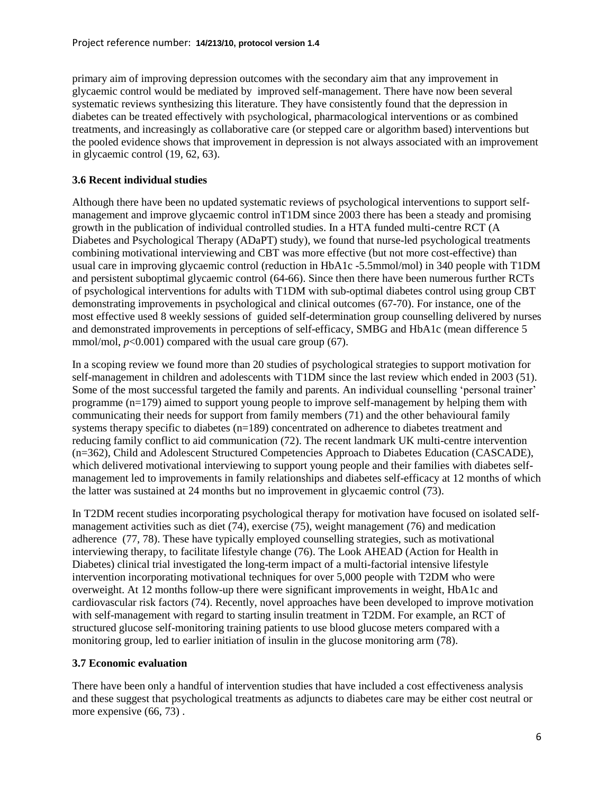primary aim of improving depression outcomes with the secondary aim that any improvement in glycaemic control would be mediated by improved self-management. There have now been several systematic reviews synthesizing this literature. They have consistently found that the depression in diabetes can be treated effectively with psychological, pharmacological interventions or as combined treatments, and increasingly as collaborative care (or stepped care or algorithm based) interventions but the pooled evidence shows that improvement in depression is not always associated with an improvement in glycaemic control [\(19,](#page-21-1) [62,](#page-23-3) [63\)](#page-23-4).

# **3.6 Recent individual studies**

Although there have been no updated systematic reviews of psychological interventions to support selfmanagement and improve glycaemic control inT1DM since 2003 there has been a steady and promising growth in the publication of individual controlled studies. In a HTA funded multi-centre RCT (A Diabetes and Psychological Therapy (ADaPT) study), we found that nurse-led psychological treatments combining motivational interviewing and CBT was more effective (but not more cost-effective) than usual care in improving glycaemic control (reduction in HbA1c -5.5mmol/mol) in 340 people with T1DM and persistent suboptimal glycaemic control [\(64-66\)](#page-23-5). Since then there have been numerous further RCTs of psychological interventions for adults with T1DM with sub-optimal diabetes control using group CBT demonstrating improvements in psychological and clinical outcomes [\(67-70\)](#page-23-6). For instance, one of the most effective used 8 weekly sessions of guided self-determination group counselling delivered by nurses and demonstrated improvements in perceptions of self-efficacy, SMBG and HbA1c (mean difference 5 mmol/mol,  $p<0.001$ ) compared with the usual care group [\(67\)](#page-23-6).

In a scoping review we found more than 20 studies of psychological strategies to support motivation for self-management in children and adolescents with T1DM since the last review which ended in 2003 [\(51\)](#page-22-9). Some of the most successful targeted the family and parents. An individual counselling 'personal trainer' programme (n=179) aimed to support young people to improve self-management by helping them with communicating their needs for support from family members [\(71\)](#page-23-7) and the other behavioural family systems therapy specific to diabetes (n=189) concentrated on adherence to diabetes treatment and reducing family conflict to aid communication [\(72\)](#page-23-8). The recent landmark UK multi-centre intervention (n=362), Child and Adolescent Structured Competencies Approach to Diabetes Education (CASCADE), which delivered motivational interviewing to support young people and their families with diabetes selfmanagement led to improvements in family relationships and diabetes self-efficacy at 12 months of which the latter was sustained at 24 months but no improvement in glycaemic control [\(73\)](#page-23-9).

In T2DM recent studies incorporating psychological therapy for motivation have focused on isolated selfmanagement activities such as diet [\(74\)](#page-23-10), exercise [\(75\)](#page-23-11), weight management [\(76\)](#page-24-0) and medication adherence [\(77,](#page-24-1) [78\)](#page-24-2). These have typically employed counselling strategies, such as motivational interviewing therapy, to facilitate lifestyle change [\(76\)](#page-24-0). The Look AHEAD (Action for Health in Diabetes) clinical trial investigated the long-term impact of a multi-factorial intensive lifestyle intervention incorporating motivational techniques for over 5,000 people with T2DM who were overweight. At 12 months follow-up there were significant improvements in weight, HbA1c and cardiovascular risk factors [\(74\)](#page-23-10). Recently, novel approaches have been developed to improve motivation with self-management with regard to starting insulin treatment in T2DM. For example, an RCT of structured glucose self-monitoring training patients to use blood glucose meters compared with a monitoring group, led to earlier initiation of insulin in the glucose monitoring arm [\(78\)](#page-24-2).

### **3.7 Economic evaluation**

There have been only a handful of intervention studies that have included a cost effectiveness analysis and these suggest that psychological treatments as adjuncts to diabetes care may be either cost neutral or more expensive  $(66, 73)$  $(66, 73)$ .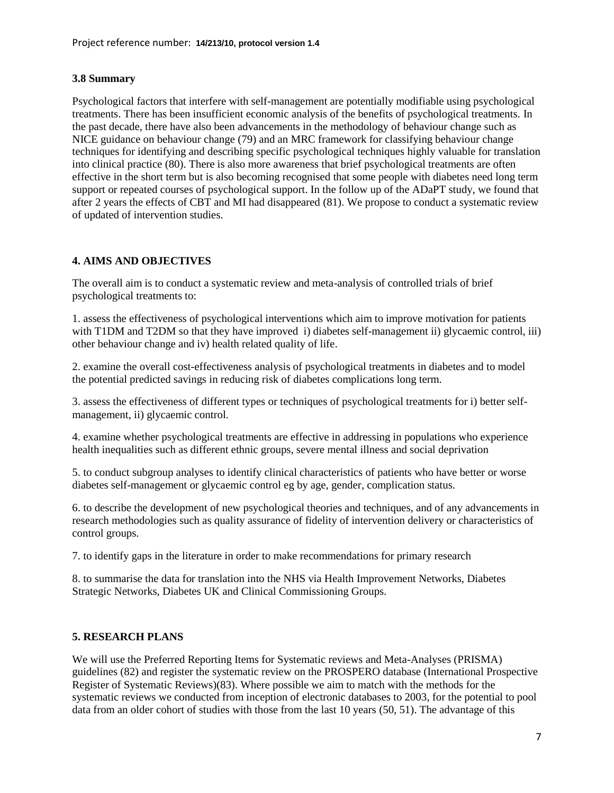## **3.8 Summary**

Psychological factors that interfere with self-management are potentially modifiable using psychological treatments. There has been insufficient economic analysis of the benefits of psychological treatments. In the past decade, there have also been advancements in the methodology of behaviour change such as NICE guidance on behaviour change [\(79\)](#page-24-3) and an MRC framework for classifying behaviour change techniques for identifying and describing specific psychological techniques highly valuable for translation into clinical practice [\(80\)](#page-24-4). There is also more awareness that brief psychological treatments are often effective in the short term but is also becoming recognised that some people with diabetes need long term support or repeated courses of psychological support. In the follow up of the ADaPT study, we found that after 2 years the effects of CBT and MI had disappeared [\(81\)](#page-24-5). We propose to conduct a systematic review of updated of intervention studies.

# **4. AIMS AND OBJECTIVES**

The overall aim is to conduct a systematic review and meta-analysis of controlled trials of brief psychological treatments to:

1. assess the effectiveness of psychological interventions which aim to improve motivation for patients with T1DM and T2DM so that they have improved i) diabetes self-management ii) glycaemic control, iii) other behaviour change and iv) health related quality of life.

2. examine the overall cost-effectiveness analysis of psychological treatments in diabetes and to model the potential predicted savings in reducing risk of diabetes complications long term.

3. assess the effectiveness of different types or techniques of psychological treatments for i) better selfmanagement, ii) glycaemic control.

4. examine whether psychological treatments are effective in addressing in populations who experience health inequalities such as different ethnic groups, severe mental illness and social deprivation

5. to conduct subgroup analyses to identify clinical characteristics of patients who have better or worse diabetes self-management or glycaemic control eg by age, gender, complication status.

6. to describe the development of new psychological theories and techniques, and of any advancements in research methodologies such as quality assurance of fidelity of intervention delivery or characteristics of control groups.

7. to identify gaps in the literature in order to make recommendations for primary research

8. to summarise the data for translation into the NHS via Health Improvement Networks, Diabetes Strategic Networks, Diabetes UK and Clinical Commissioning Groups.

### **5. RESEARCH PLANS**

We will use the Preferred Reporting Items for Systematic reviews and Meta-Analyses (PRISMA) guidelines [\(82\)](#page-24-6) and register the systematic review on the PROSPERO database (International Prospective Register of Systematic Reviews)[\(83\)](#page-24-7). Where possible we aim to match with the methods for the systematic reviews we conducted from inception of electronic databases to 2003, for the potential to pool data from an older cohort of studies with those from the last 10 years [\(50,](#page-22-8) [51\)](#page-22-9). The advantage of this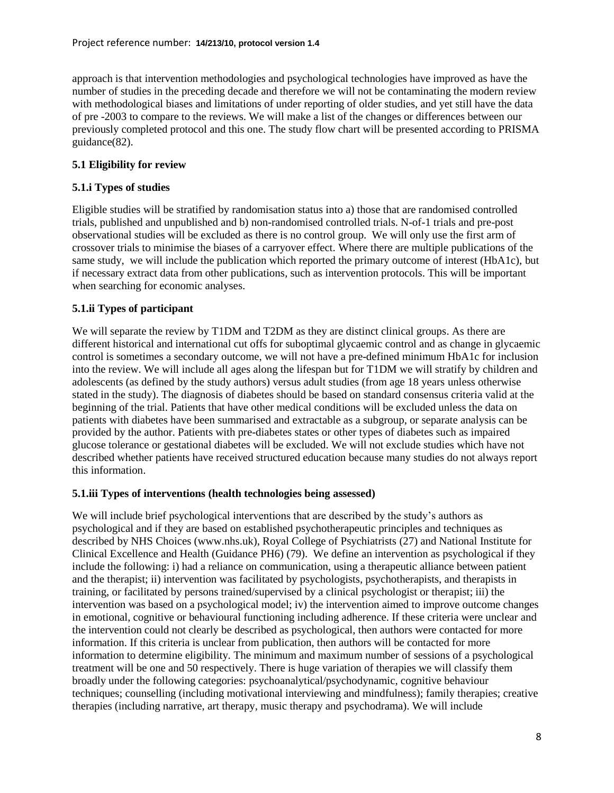approach is that intervention methodologies and psychological technologies have improved as have the number of studies in the preceding decade and therefore we will not be contaminating the modern review with methodological biases and limitations of under reporting of older studies, and yet still have the data of pre -2003 to compare to the reviews. We will make a list of the changes or differences between our previously completed protocol and this one. The study flow chart will be presented according to PRISMA guidance[\(82\)](#page-24-6).

# **5.1 Eligibility for review**

# **5.1.i Types of studies**

Eligible studies will be stratified by randomisation status into a) those that are randomised controlled trials, published and unpublished and b) non-randomised controlled trials. N-of-1 trials and pre-post observational studies will be excluded as there is no control group. We will only use the first arm of crossover trials to minimise the biases of a carryover effect. Where there are multiple publications of the same study, we will include the publication which reported the primary outcome of interest (HbA1c), but if necessary extract data from other publications, such as intervention protocols. This will be important when searching for economic analyses.

# **5.1.ii Types of participant**

We will separate the review by T1DM and T2DM as they are distinct clinical groups. As there are different historical and international cut offs for suboptimal glycaemic control and as change in glycaemic control is sometimes a secondary outcome, we will not have a pre-defined minimum HbA1c for inclusion into the review. We will include all ages along the lifespan but for T1DM we will stratify by children and adolescents (as defined by the study authors) versus adult studies (from age 18 years unless otherwise stated in the study). The diagnosis of diabetes should be based on standard consensus criteria valid at the beginning of the trial. Patients that have other medical conditions will be excluded unless the data on patients with diabetes have been summarised and extractable as a subgroup, or separate analysis can be provided by the author. Patients with pre-diabetes states or other types of diabetes such as impaired glucose tolerance or gestational diabetes will be excluded. We will not exclude studies which have not described whether patients have received structured education because many studies do not always report this information.

### **5.1.iii Types of interventions (health technologies being assessed)**

We will include brief psychological interventions that are described by the study's authors as psychological and if they are based on established psychotherapeutic principles and techniques as described by NHS Choices (www.nhs.uk), Royal College of Psychiatrists [\(27\)](#page-21-18) and National Institute for Clinical Excellence and Health (Guidance PH6) [\(79\)](#page-24-3). We define an intervention as psychological if they include the following: i) had a reliance on communication, using a therapeutic alliance between patient and the therapist; ii) intervention was facilitated by psychologists, psychotherapists, and therapists in training, or facilitated by persons trained/supervised by a clinical psychologist or therapist; iii) the intervention was based on a psychological model; iv) the intervention aimed to improve outcome changes in emotional, cognitive or behavioural functioning including adherence. If these criteria were unclear and the intervention could not clearly be described as psychological, then authors were contacted for more information. If this criteria is unclear from publication, then authors will be contacted for more information to determine eligibility. The minimum and maximum number of sessions of a psychological treatment will be one and 50 respectively. There is huge variation of therapies we will classify them broadly under the following categories: psychoanalytical/psychodynamic, cognitive behaviour techniques; counselling (including motivational interviewing and mindfulness); family therapies; creative therapies (including narrative, art therapy, music therapy and psychodrama). We will include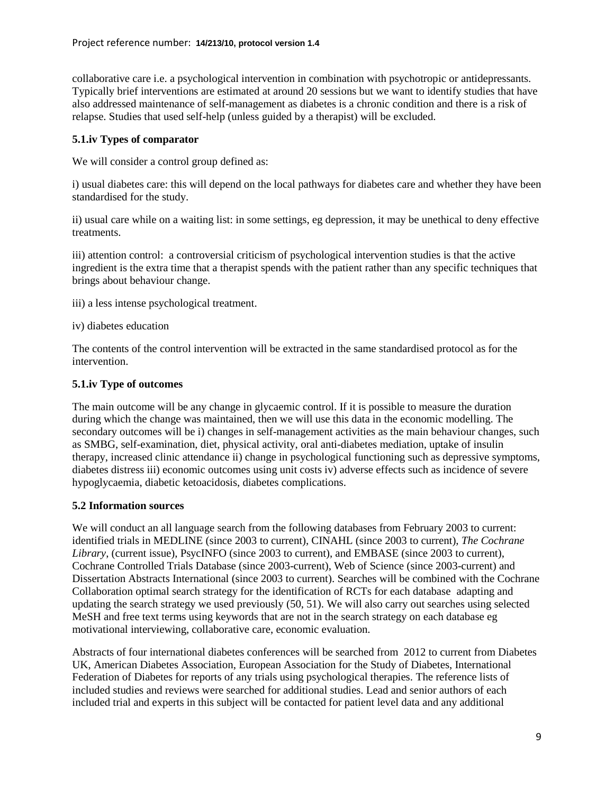collaborative care i.e. a psychological intervention in combination with psychotropic or antidepressants. Typically brief interventions are estimated at around 20 sessions but we want to identify studies that have also addressed maintenance of self-management as diabetes is a chronic condition and there is a risk of relapse. Studies that used self-help (unless guided by a therapist) will be excluded.

#### **5.1.iv Types of comparator**

We will consider a control group defined as:

i) usual diabetes care: this will depend on the local pathways for diabetes care and whether they have been standardised for the study.

ii) usual care while on a waiting list: in some settings, eg depression, it may be unethical to deny effective treatments.

iii) attention control: a controversial criticism of psychological intervention studies is that the active ingredient is the extra time that a therapist spends with the patient rather than any specific techniques that brings about behaviour change.

- iii) a less intense psychological treatment.
- iv) diabetes education

The contents of the control intervention will be extracted in the same standardised protocol as for the intervention.

### **5.1.iv Type of outcomes**

The main outcome will be any change in glycaemic control. If it is possible to measure the duration during which the change was maintained, then we will use this data in the economic modelling. The secondary outcomes will be i) changes in self-management activities as the main behaviour changes, such as SMBG, self-examination, diet, physical activity, oral anti-diabetes mediation, uptake of insulin therapy, increased clinic attendance ii) change in psychological functioning such as depressive symptoms, diabetes distress iii) economic outcomes using unit costs iv) adverse effects such as incidence of severe hypoglycaemia, diabetic ketoacidosis, diabetes complications.

### **5.2 Information sources**

We will conduct an all language search from the following databases from February 2003 to current: identified trials in MEDLINE (since 2003 to current), CINAHL (since 2003 to current), *The Cochrane Library*, (current issue), PsycINFO (since 2003 to current), and EMBASE (since 2003 to current), Cochrane Controlled Trials Database (since 2003-current), Web of Science (since 2003-current) and Dissertation Abstracts International (since 2003 to current). Searches will be combined with the Cochrane Collaboration optimal search strategy for the identification of RCTs for each database adapting and updating the search strategy we used previously [\(50,](#page-22-8) [51\)](#page-22-9). We will also carry out searches using selected MeSH and free text terms using keywords that are not in the search strategy on each database eg motivational interviewing, collaborative care, economic evaluation.

Abstracts of four international diabetes conferences will be searched from 2012 to current from Diabetes UK, American Diabetes Association, European Association for the Study of Diabetes, International Federation of Diabetes for reports of any trials using psychological therapies. The reference lists of included studies and reviews were searched for additional studies. Lead and senior authors of each included trial and experts in this subject will be contacted for patient level data and any additional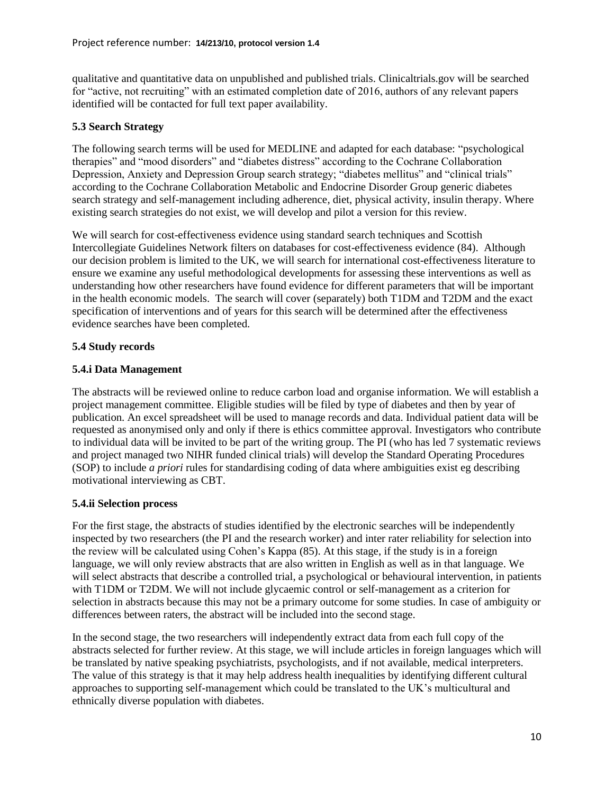qualitative and quantitative data on unpublished and published trials. Clinicaltrials.gov will be searched for "active, not recruiting" with an estimated completion date of 2016, authors of any relevant papers identified will be contacted for full text paper availability.

# **5.3 Search Strategy**

The following search terms will be used for MEDLINE and adapted for each database: "psychological therapies" and "mood disorders" and "diabetes distress" according to the Cochrane Collaboration Depression, Anxiety and Depression Group search strategy; "diabetes mellitus" and "clinical trials" according to the Cochrane Collaboration Metabolic and Endocrine Disorder Group generic diabetes search strategy and self-management including adherence, diet, physical activity, insulin therapy. Where existing search strategies do not exist, we will develop and pilot a version for this review.

We will search for cost-effectiveness evidence using standard search techniques and Scottish Intercollegiate Guidelines Network filters on databases for cost-effectiveness evidence [\(84\)](#page-24-8). Although our decision problem is limited to the UK, we will search for international cost-effectiveness literature to ensure we examine any useful methodological developments for assessing these interventions as well as understanding how other researchers have found evidence for different parameters that will be important in the health economic models. The search will cover (separately) both T1DM and T2DM and the exact specification of interventions and of years for this search will be determined after the effectiveness evidence searches have been completed.

# **5.4 Study records**

# **5.4.i Data Management**

The abstracts will be reviewed online to reduce carbon load and organise information. We will establish a project management committee. Eligible studies will be filed by type of diabetes and then by year of publication. An excel spreadsheet will be used to manage records and data. Individual patient data will be requested as anonymised only and only if there is ethics committee approval. Investigators who contribute to individual data will be invited to be part of the writing group. The PI (who has led 7 systematic reviews and project managed two NIHR funded clinical trials) will develop the Standard Operating Procedures (SOP) to include *a priori* rules for standardising coding of data where ambiguities exist eg describing motivational interviewing as CBT.

### **5.4.ii Selection process**

For the first stage, the abstracts of studies identified by the electronic searches will be independently inspected by two researchers (the PI and the research worker) and inter rater reliability for selection into the review will be calculated using Cohen's Kappa [\(85\)](#page-24-9). At this stage, if the study is in a foreign language, we will only review abstracts that are also written in English as well as in that language. We will select abstracts that describe a controlled trial, a psychological or behavioural intervention, in patients with T1DM or T2DM. We will not include glycaemic control or self-management as a criterion for selection in abstracts because this may not be a primary outcome for some studies. In case of ambiguity or differences between raters, the abstract will be included into the second stage.

In the second stage, the two researchers will independently extract data from each full copy of the abstracts selected for further review. At this stage, we will include articles in foreign languages which will be translated by native speaking psychiatrists, psychologists, and if not available, medical interpreters. The value of this strategy is that it may help address health inequalities by identifying different cultural approaches to supporting self-management which could be translated to the UK's multicultural and ethnically diverse population with diabetes.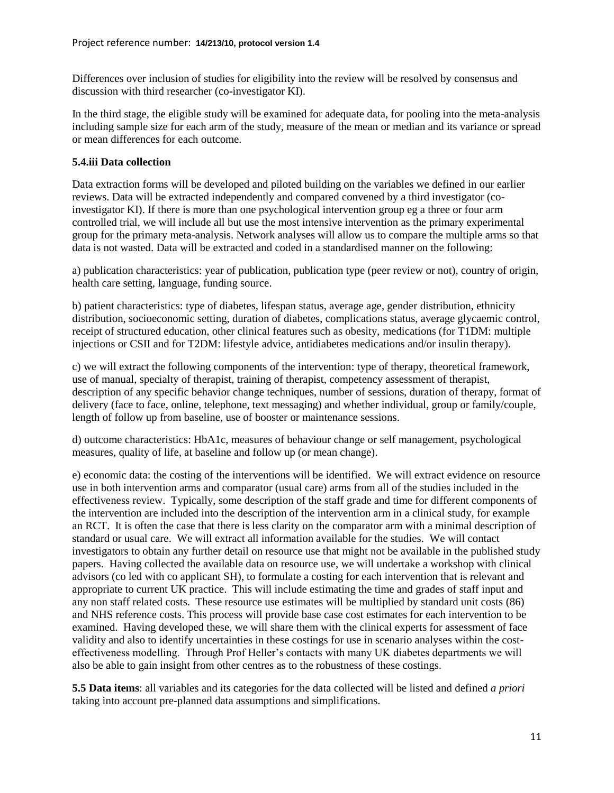Differences over inclusion of studies for eligibility into the review will be resolved by consensus and discussion with third researcher (co-investigator KI).

In the third stage, the eligible study will be examined for adequate data, for pooling into the meta-analysis including sample size for each arm of the study, measure of the mean or median and its variance or spread or mean differences for each outcome.

# **5.4.iii Data collection**

Data extraction forms will be developed and piloted building on the variables we defined in our earlier reviews. Data will be extracted independently and compared convened by a third investigator (coinvestigator KI). If there is more than one psychological intervention group eg a three or four arm controlled trial, we will include all but use the most intensive intervention as the primary experimental group for the primary meta-analysis. Network analyses will allow us to compare the multiple arms so that data is not wasted. Data will be extracted and coded in a standardised manner on the following:

a) publication characteristics: year of publication, publication type (peer review or not), country of origin, health care setting, language, funding source.

b) patient characteristics: type of diabetes, lifespan status, average age, gender distribution, ethnicity distribution, socioeconomic setting, duration of diabetes, complications status, average glycaemic control, receipt of structured education, other clinical features such as obesity, medications (for T1DM: multiple injections or CSII and for T2DM: lifestyle advice, antidiabetes medications and/or insulin therapy).

c) we will extract the following components of the intervention: type of therapy, theoretical framework, use of manual, specialty of therapist, training of therapist, competency assessment of therapist, description of any specific behavior change techniques, number of sessions, duration of therapy, format of delivery (face to face, online, telephone, text messaging) and whether individual, group or family/couple, length of follow up from baseline, use of booster or maintenance sessions.

d) outcome characteristics: HbA1c, measures of behaviour change or self management, psychological measures, quality of life, at baseline and follow up (or mean change).

e) economic data: the costing of the interventions will be identified. We will extract evidence on resource use in both intervention arms and comparator (usual care) arms from all of the studies included in the effectiveness review. Typically, some description of the staff grade and time for different components of the intervention are included into the description of the intervention arm in a clinical study, for example an RCT. It is often the case that there is less clarity on the comparator arm with a minimal description of standard or usual care. We will extract all information available for the studies. We will contact investigators to obtain any further detail on resource use that might not be available in the published study papers. Having collected the available data on resource use, we will undertake a workshop with clinical advisors (co led with co applicant SH), to formulate a costing for each intervention that is relevant and appropriate to current UK practice. This will include estimating the time and grades of staff input and any non staff related costs. These resource use estimates will be multiplied by standard unit costs [\(86\)](#page-24-10) and NHS reference costs. This process will provide base case cost estimates for each intervention to be examined. Having developed these, we will share them with the clinical experts for assessment of face validity and also to identify uncertainties in these costings for use in scenario analyses within the costeffectiveness modelling. Through Prof Heller's contacts with many UK diabetes departments we will also be able to gain insight from other centres as to the robustness of these costings.

**5.5 Data items**: all variables and its categories for the data collected will be listed and defined *a priori* taking into account pre-planned data assumptions and simplifications.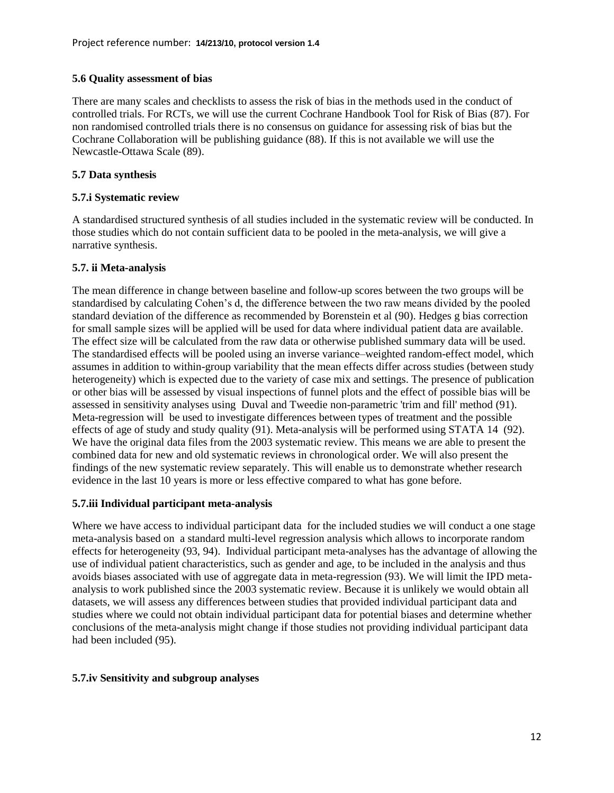### **5.6 Quality assessment of bias**

There are many scales and checklists to assess the risk of bias in the methods used in the conduct of controlled trials. For RCTs, we will use the current Cochrane Handbook Tool for Risk of Bias [\(87\)](#page-24-11). For non randomised controlled trials there is no consensus on guidance for assessing risk of bias but the Cochrane Collaboration will be publishing guidance [\(88\)](#page-24-12). If this is not available we will use the Newcastle-Ottawa Scale [\(89\)](#page-24-13).

# **5.7 Data synthesis**

### **5.7.i Systematic review**

A standardised structured synthesis of all studies included in the systematic review will be conducted. In those studies which do not contain sufficient data to be pooled in the meta-analysis, we will give a narrative synthesis.

# **5.7. ii Meta-analysis**

The mean difference in change between baseline and follow-up scores between the two groups will be standardised by calculating Cohen's d, the difference between the two raw means divided by the pooled standard deviation of the difference as recommended by Borenstein et al [\(90\)](#page-24-14). Hedges g bias correction for small sample sizes will be applied will be used for data where individual patient data are available. The effect size will be calculated from the raw data or otherwise published summary data will be used. The standardised effects will be pooled using an inverse variance–weighted random-effect model, which assumes in addition to within-group variability that the mean effects differ across studies (between study heterogeneity) which is expected due to the variety of case mix and settings. The presence of publication or other bias will be assessed by visual inspections of funnel plots and the effect of possible bias will be assessed in sensitivity analyses using Duval and Tweedie non-parametric 'trim and fill' method [\(91\)](#page-24-15). Meta-regression will be used to investigate differences between types of treatment and the possible effects of age of study and study quality [\(91\)](#page-24-15). Meta-analysis will be performed using STATA 14 [\(92\)](#page-24-16). We have the original data files from the 2003 systematic review. This means we are able to present the combined data for new and old systematic reviews in chronological order. We will also present the findings of the new systematic review separately. This will enable us to demonstrate whether research evidence in the last 10 years is more or less effective compared to what has gone before.

### **5.7.iii Individual participant meta-analysis**

Where we have access to individual participant data for the included studies we will conduct a one stage meta-analysis based on a standard multi-level regression analysis which allows to incorporate random effects for heterogeneity [\(93,](#page-24-17) [94\)](#page-24-18). Individual participant meta-analyses has the advantage of allowing the use of individual patient characteristics, such as gender and age, to be included in the analysis and thus avoids biases associated with use of aggregate data in meta-regression [\(93\)](#page-24-17). We will limit the IPD metaanalysis to work published since the 2003 systematic review. Because it is unlikely we would obtain all datasets, we will assess any differences between studies that provided individual participant data and studies where we could not obtain individual participant data for potential biases and determine whether conclusions of the meta-analysis might change if those studies not providing individual participant data had been included [\(95\)](#page-24-19).

### **5.7.iv Sensitivity and subgroup analyses**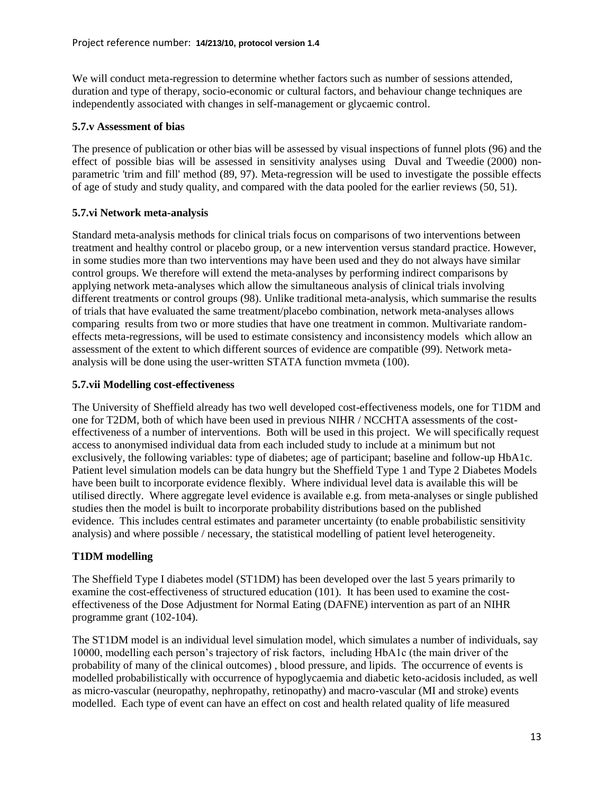We will conduct meta-regression to determine whether factors such as number of sessions attended, duration and type of therapy, socio-economic or cultural factors, and behaviour change techniques are independently associated with changes in self-management or glycaemic control.

#### **5.7.v Assessment of bias**

The presence of publication or other bias will be assessed by visual inspections of funnel plots [\(96\)](#page-25-0) and the effect of possible bias will be assessed in sensitivity analyses using Duval and Tweedie (2000) nonparametric 'trim and fill' method [\(89,](#page-24-13) [97\)](#page-25-1). Meta-regression will be used to investigate the possible effects of age of study and study quality, and compared with the data pooled for the earlier reviews [\(50,](#page-22-8) [51\)](#page-22-9).

### **5.7.vi Network meta-analysis**

Standard meta-analysis methods for clinical trials focus on comparisons of two interventions between treatment and healthy control or placebo group, or a new intervention versus standard practice. However, in some studies more than two interventions may have been used and they do not always have similar control groups. We therefore will extend the meta-analyses by performing indirect comparisons by applying network meta-analyses which allow the simultaneous analysis of clinical trials involving different treatments or control groups [\(98\)](#page-25-2). Unlike traditional meta-analysis, which summarise the results of trials that have evaluated the same treatment/placebo combination, network meta-analyses allows comparing results from two or more studies that have one treatment in common. Multivariate randomeffects meta-regressions, will be used to estimate consistency and inconsistency models which allow an assessment of the extent to which different sources of evidence are compatible [\(99\)](#page-25-3). Network metaanalysis will be done using the user-written STATA function mvmeta [\(100\)](#page-25-4).

#### **5.7.vii Modelling cost-effectiveness**

The University of Sheffield already has two well developed cost-effectiveness models, one for T1DM and one for T2DM, both of which have been used in previous NIHR / NCCHTA assessments of the costeffectiveness of a number of interventions. Both will be used in this project. We will specifically request access to anonymised individual data from each included study to include at a minimum but not exclusively, the following variables: type of diabetes; age of participant; baseline and follow-up HbA1c. Patient level simulation models can be data hungry but the Sheffield Type 1 and Type 2 Diabetes Models have been built to incorporate evidence flexibly. Where individual level data is available this will be utilised directly. Where aggregate level evidence is available e.g. from meta-analyses or single published studies then the model is built to incorporate probability distributions based on the published evidence. This includes central estimates and parameter uncertainty (to enable probabilistic sensitivity analysis) and where possible / necessary, the statistical modelling of patient level heterogeneity.

### **T1DM modelling**

The Sheffield Type I diabetes model (ST1DM) has been developed over the last 5 years primarily to examine the cost-effectiveness of structured education [\(101\)](#page-25-5). It has been used to examine the costeffectiveness of the Dose Adjustment for Normal Eating (DAFNE) intervention as part of an NIHR programme grant [\(102-104\)](#page-25-6).

The ST1DM model is an individual level simulation model, which simulates a number of individuals, say 10000, modelling each person's trajectory of risk factors, including HbA1c (the main driver of the probability of many of the clinical outcomes) , blood pressure, and lipids. The occurrence of events is modelled probabilistically with occurrence of hypoglycaemia and diabetic keto-acidosis included, as well as micro-vascular (neuropathy, nephropathy, retinopathy) and macro-vascular (MI and stroke) events modelled. Each type of event can have an effect on cost and health related quality of life measured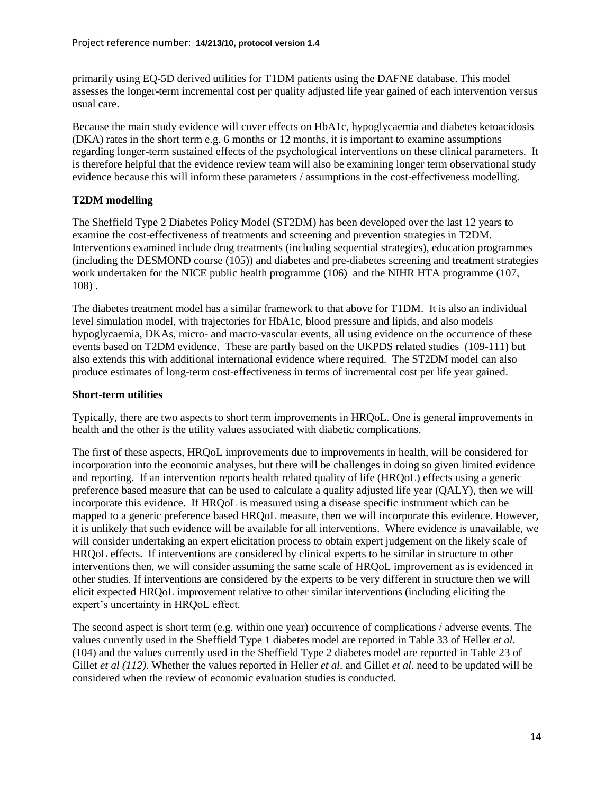primarily using EQ-5D derived utilities for T1DM patients using the DAFNE database. This model assesses the longer-term incremental cost per quality adjusted life year gained of each intervention versus usual care.

Because the main study evidence will cover effects on HbA1c, hypoglycaemia and diabetes ketoacidosis (DKA) rates in the short term e.g. 6 months or 12 months, it is important to examine assumptions regarding longer-term sustained effects of the psychological interventions on these clinical parameters. It is therefore helpful that the evidence review team will also be examining longer term observational study evidence because this will inform these parameters / assumptions in the cost-effectiveness modelling.

# **T2DM modelling**

The Sheffield Type 2 Diabetes Policy Model (ST2DM) has been developed over the last 12 years to examine the cost-effectiveness of treatments and screening and prevention strategies in T2DM. Interventions examined include drug treatments (including sequential strategies), education programmes (including the DESMOND course [\(105\)](#page-25-7)) and diabetes and pre-diabetes screening and treatment strategies work undertaken for the NICE public health programme [\(106\)](#page-25-8) and the NIHR HTA programme [\(107,](#page-25-9) [108\)](#page-25-10) .

The diabetes treatment model has a similar framework to that above for T1DM. It is also an individual level simulation model, with trajectories for HbA1c, blood pressure and lipids, and also models hypoglycaemia, DKAs, micro- and macro-vascular events, all using evidence on the occurrence of these events based on T2DM evidence. These are partly based on the UKPDS related studies [\(109-111\)](#page-25-11) but also extends this with additional international evidence where required. The ST2DM model can also produce estimates of long-term cost-effectiveness in terms of incremental cost per life year gained.

### **Short-term utilities**

Typically, there are two aspects to short term improvements in HRQoL. One is general improvements in health and the other is the utility values associated with diabetic complications.

The first of these aspects, HRQoL improvements due to improvements in health, will be considered for incorporation into the economic analyses, but there will be challenges in doing so given limited evidence and reporting. If an intervention reports health related quality of life (HRQoL) effects using a generic preference based measure that can be used to calculate a quality adjusted life year (QALY), then we will incorporate this evidence. If HRQoL is measured using a disease specific instrument which can be mapped to a generic preference based HRQoL measure, then we will incorporate this evidence. However, it is unlikely that such evidence will be available for all interventions. Where evidence is unavailable, we will consider undertaking an expert elicitation process to obtain expert judgement on the likely scale of HRQoL effects. If interventions are considered by clinical experts to be similar in structure to other interventions then, we will consider assuming the same scale of HRQoL improvement as is evidenced in other studies. If interventions are considered by the experts to be very different in structure then we will elicit expected HRQoL improvement relative to other similar interventions (including eliciting the expert's uncertainty in HRQoL effect.

The second aspect is short term (e.g. within one year) occurrence of complications / adverse events. The values currently used in the Sheffield Type 1 diabetes model are reported in Table 33 of Heller *et al*. [\(104\)](#page-25-12) and the values currently used in the Sheffield Type 2 diabetes model are reported in Table 23 of Gillet *et al [\(112\)](#page-26-0)*. Whether the values reported in Heller *et al*. and Gillet *et al*. need to be updated will be considered when the review of economic evaluation studies is conducted.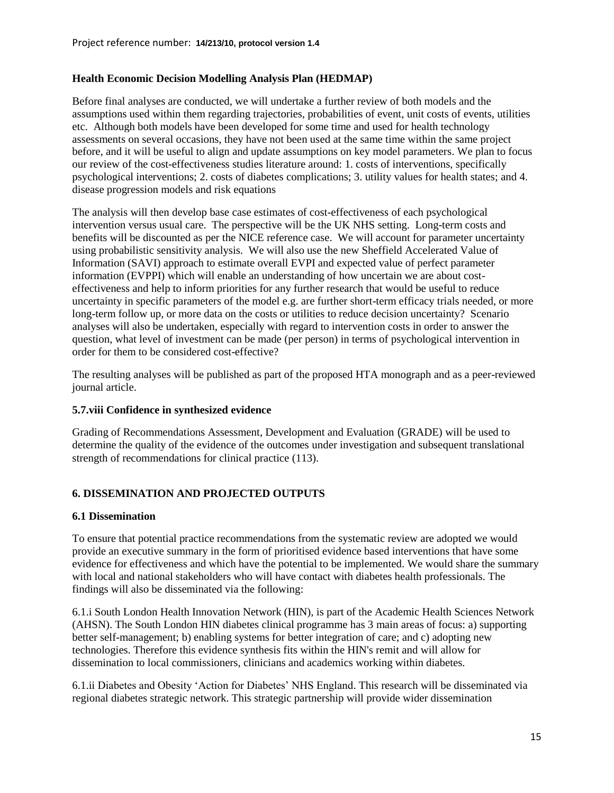### **Health Economic Decision Modelling Analysis Plan (HEDMAP)**

Before final analyses are conducted, we will undertake a further review of both models and the assumptions used within them regarding trajectories, probabilities of event, unit costs of events, utilities etc. Although both models have been developed for some time and used for health technology assessments on several occasions, they have not been used at the same time within the same project before, and it will be useful to align and update assumptions on key model parameters. We plan to focus our review of the cost-effectiveness studies literature around: 1. costs of interventions, specifically psychological interventions; 2. costs of diabetes complications; 3. utility values for health states; and 4. disease progression models and risk equations

The analysis will then develop base case estimates of cost-effectiveness of each psychological intervention versus usual care. The perspective will be the UK NHS setting. Long-term costs and benefits will be discounted as per the NICE reference case. We will account for parameter uncertainty using probabilistic sensitivity analysis. We will also use the new Sheffield Accelerated Value of Information (SAVI) approach to estimate overall EVPI and expected value of perfect parameter information (EVPPI) which will enable an understanding of how uncertain we are about costeffectiveness and help to inform priorities for any further research that would be useful to reduce uncertainty in specific parameters of the model e.g. are further short-term efficacy trials needed, or more long-term follow up, or more data on the costs or utilities to reduce decision uncertainty? Scenario analyses will also be undertaken, especially with regard to intervention costs in order to answer the question, what level of investment can be made (per person) in terms of psychological intervention in order for them to be considered cost-effective?

The resulting analyses will be published as part of the proposed HTA monograph and as a peer-reviewed journal article.

### **5.7.viii Confidence in synthesized evidence**

Grading of Recommendations Assessment, Development and Evaluation (GRADE) will be used to determine the quality of the evidence of the outcomes under investigation and subsequent translational strength of recommendations for clinical practice [\(113\)](#page-26-1).

### **6. DISSEMINATION AND PROJECTED OUTPUTS**

#### **6.1 Dissemination**

To ensure that potential practice recommendations from the systematic review are adopted we would provide an executive summary in the form of prioritised evidence based interventions that have some evidence for effectiveness and which have the potential to be implemented. We would share the summary with local and national stakeholders who will have contact with diabetes health professionals. The findings will also be disseminated via the following:

6.1.i South London Health Innovation Network (HIN), is part of the Academic Health Sciences Network (AHSN). The South London HIN diabetes clinical programme has 3 main areas of focus: a) supporting better self-management; b) enabling systems for better integration of care; and c) adopting new technologies. Therefore this evidence synthesis fits within the HIN's remit and will allow for dissemination to local commissioners, clinicians and academics working within diabetes.

6.1.ii Diabetes and Obesity 'Action for Diabetes' NHS England. This research will be disseminated via regional diabetes strategic network. This strategic partnership will provide wider dissemination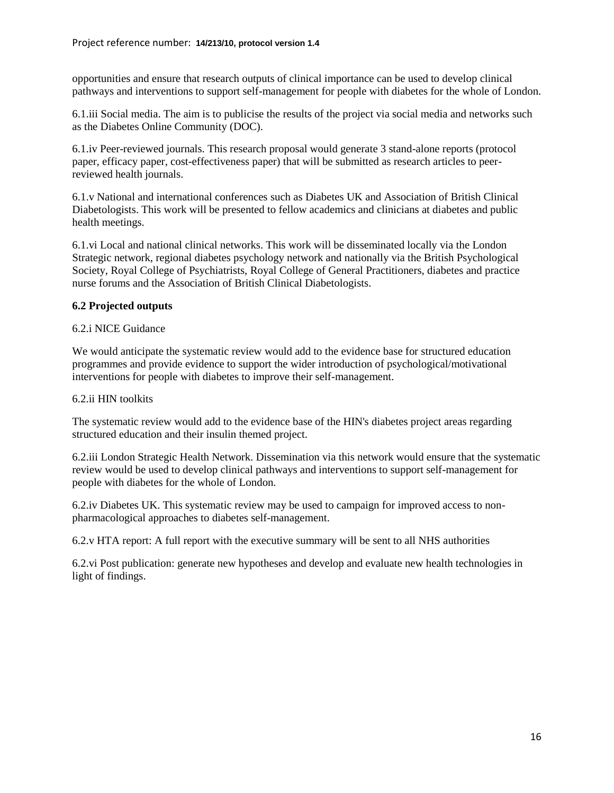opportunities and ensure that research outputs of clinical importance can be used to develop clinical pathways and interventions to support self-management for people with diabetes for the whole of London.

6.1.iii Social media. The aim is to publicise the results of the project via social media and networks such as the Diabetes Online Community (DOC).

6.1.iv Peer-reviewed journals. This research proposal would generate 3 stand-alone reports (protocol paper, efficacy paper, cost-effectiveness paper) that will be submitted as research articles to peerreviewed health journals.

6.1.v National and international conferences such as Diabetes UK and Association of British Clinical Diabetologists. This work will be presented to fellow academics and clinicians at diabetes and public health meetings.

6.1.vi Local and national clinical networks. This work will be disseminated locally via the London Strategic network, regional diabetes psychology network and nationally via the British Psychological Society, Royal College of Psychiatrists, Royal College of General Practitioners, diabetes and practice nurse forums and the Association of British Clinical Diabetologists.

### **6.2 Projected outputs**

### 6.2.i NICE Guidance

We would anticipate the systematic review would add to the evidence base for structured education programmes and provide evidence to support the wider introduction of psychological/motivational interventions for people with diabetes to improve their self-management.

### 6.2.ii HIN toolkits

The systematic review would add to the evidence base of the HIN's diabetes project areas regarding structured education and their insulin themed project.

6.2.iii London Strategic Health Network. Dissemination via this network would ensure that the systematic review would be used to develop clinical pathways and interventions to support self-management for people with diabetes for the whole of London.

6.2.iv Diabetes UK. This systematic review may be used to campaign for improved access to nonpharmacological approaches to diabetes self-management.

6.2.v HTA report: A full report with the executive summary will be sent to all NHS authorities

6.2.vi Post publication: generate new hypotheses and develop and evaluate new health technologies in light of findings.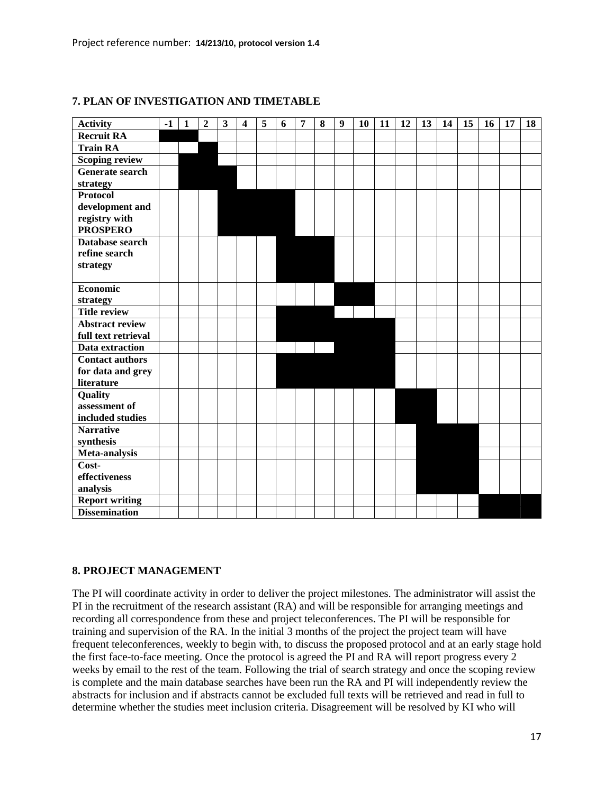| <b>Activity</b>        | $-1$ | $\mathbf{1}$ | $\overline{2}$ | 3 | $\overline{\mathbf{4}}$ | 5 | 6 | 7 | 8 | 9 | 10 | 11 | 12 | 13 | 14 | 15 | <b>16</b> | 17 | 18 |
|------------------------|------|--------------|----------------|---|-------------------------|---|---|---|---|---|----|----|----|----|----|----|-----------|----|----|
| <b>Recruit RA</b>      |      |              |                |   |                         |   |   |   |   |   |    |    |    |    |    |    |           |    |    |
| <b>Train RA</b>        |      |              |                |   |                         |   |   |   |   |   |    |    |    |    |    |    |           |    |    |
| <b>Scoping review</b>  |      |              |                |   |                         |   |   |   |   |   |    |    |    |    |    |    |           |    |    |
| <b>Generate search</b> |      |              |                |   |                         |   |   |   |   |   |    |    |    |    |    |    |           |    |    |
| strategy               |      |              |                |   |                         |   |   |   |   |   |    |    |    |    |    |    |           |    |    |
| <b>Protocol</b>        |      |              |                |   |                         |   |   |   |   |   |    |    |    |    |    |    |           |    |    |
| development and        |      |              |                |   |                         |   |   |   |   |   |    |    |    |    |    |    |           |    |    |
| registry with          |      |              |                |   |                         |   |   |   |   |   |    |    |    |    |    |    |           |    |    |
| <b>PROSPERO</b>        |      |              |                |   |                         |   |   |   |   |   |    |    |    |    |    |    |           |    |    |
| Database search        |      |              |                |   |                         |   |   |   |   |   |    |    |    |    |    |    |           |    |    |
| refine search          |      |              |                |   |                         |   |   |   |   |   |    |    |    |    |    |    |           |    |    |
| strategy               |      |              |                |   |                         |   |   |   |   |   |    |    |    |    |    |    |           |    |    |
|                        |      |              |                |   |                         |   |   |   |   |   |    |    |    |    |    |    |           |    |    |
| <b>Economic</b>        |      |              |                |   |                         |   |   |   |   |   |    |    |    |    |    |    |           |    |    |
| strategy               |      |              |                |   |                         |   |   |   |   |   |    |    |    |    |    |    |           |    |    |
| <b>Title review</b>    |      |              |                |   |                         |   |   |   |   |   |    |    |    |    |    |    |           |    |    |
| <b>Abstract review</b> |      |              |                |   |                         |   |   |   |   |   |    |    |    |    |    |    |           |    |    |
| full text retrieval    |      |              |                |   |                         |   |   |   |   |   |    |    |    |    |    |    |           |    |    |
| Data extraction        |      |              |                |   |                         |   |   |   |   |   |    |    |    |    |    |    |           |    |    |
| <b>Contact authors</b> |      |              |                |   |                         |   |   |   |   |   |    |    |    |    |    |    |           |    |    |
| for data and grey      |      |              |                |   |                         |   |   |   |   |   |    |    |    |    |    |    |           |    |    |
| literature             |      |              |                |   |                         |   |   |   |   |   |    |    |    |    |    |    |           |    |    |
| Quality                |      |              |                |   |                         |   |   |   |   |   |    |    |    |    |    |    |           |    |    |
| assessment of          |      |              |                |   |                         |   |   |   |   |   |    |    |    |    |    |    |           |    |    |
| included studies       |      |              |                |   |                         |   |   |   |   |   |    |    |    |    |    |    |           |    |    |
| <b>Narrative</b>       |      |              |                |   |                         |   |   |   |   |   |    |    |    |    |    |    |           |    |    |
| synthesis              |      |              |                |   |                         |   |   |   |   |   |    |    |    |    |    |    |           |    |    |
| Meta-analysis          |      |              |                |   |                         |   |   |   |   |   |    |    |    |    |    |    |           |    |    |
| Cost-                  |      |              |                |   |                         |   |   |   |   |   |    |    |    |    |    |    |           |    |    |
| effectiveness          |      |              |                |   |                         |   |   |   |   |   |    |    |    |    |    |    |           |    |    |
| analysis               |      |              |                |   |                         |   |   |   |   |   |    |    |    |    |    |    |           |    |    |
| <b>Report writing</b>  |      |              |                |   |                         |   |   |   |   |   |    |    |    |    |    |    |           |    |    |
| <b>Dissemination</b>   |      |              |                |   |                         |   |   |   |   |   |    |    |    |    |    |    |           |    |    |

### **7. PLAN OF INVESTIGATION AND TIMETABLE**

#### **8. PROJECT MANAGEMENT**

The PI will coordinate activity in order to deliver the project milestones. The administrator will assist the PI in the recruitment of the research assistant (RA) and will be responsible for arranging meetings and recording all correspondence from these and project teleconferences. The PI will be responsible for training and supervision of the RA. In the initial 3 months of the project the project team will have frequent teleconferences, weekly to begin with, to discuss the proposed protocol and at an early stage hold the first face-to-face meeting. Once the protocol is agreed the PI and RA will report progress every 2 weeks by email to the rest of the team. Following the trial of search strategy and once the scoping review is complete and the main database searches have been run the RA and PI will independently review the abstracts for inclusion and if abstracts cannot be excluded full texts will be retrieved and read in full to determine whether the studies meet inclusion criteria. Disagreement will be resolved by KI who will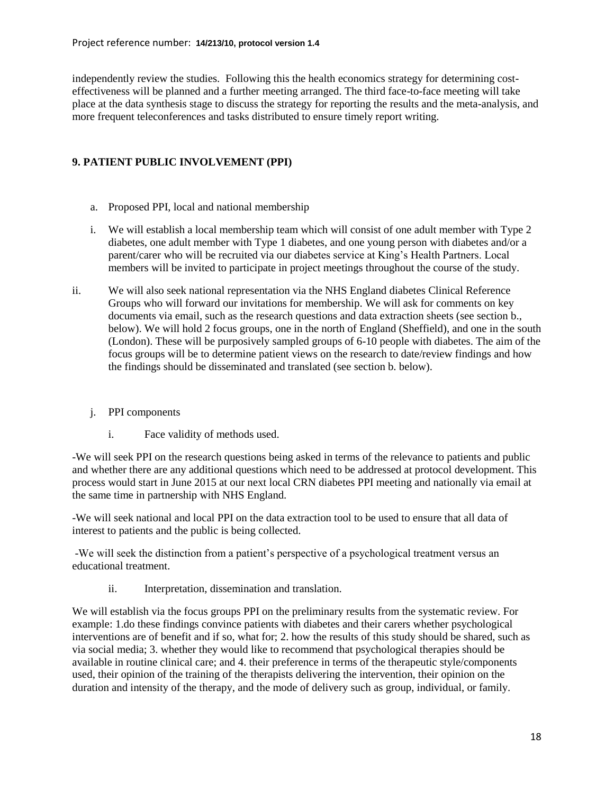independently review the studies. Following this the health economics strategy for determining costeffectiveness will be planned and a further meeting arranged. The third face-to-face meeting will take place at the data synthesis stage to discuss the strategy for reporting the results and the meta-analysis, and more frequent teleconferences and tasks distributed to ensure timely report writing.

# **9. PATIENT PUBLIC INVOLVEMENT (PPI)**

- a. Proposed PPI, local and national membership
- i. We will establish a local membership team which will consist of one adult member with Type 2 diabetes, one adult member with Type 1 diabetes, and one young person with diabetes and/or a parent/carer who will be recruited via our diabetes service at King's Health Partners. Local members will be invited to participate in project meetings throughout the course of the study.
- ii. We will also seek national representation via the NHS England diabetes Clinical Reference Groups who will forward our invitations for membership. We will ask for comments on key documents via email, such as the research questions and data extraction sheets (see section b., below). We will hold 2 focus groups, one in the north of England (Sheffield), and one in the south (London). These will be purposively sampled groups of 6-10 people with diabetes. The aim of the focus groups will be to determine patient views on the research to date/review findings and how the findings should be disseminated and translated (see section b. below).

### j. PPI components

i. Face validity of methods used.

-We will seek PPI on the research questions being asked in terms of the relevance to patients and public and whether there are any additional questions which need to be addressed at protocol development. This process would start in June 2015 at our next local CRN diabetes PPI meeting and nationally via email at the same time in partnership with NHS England.

-We will seek national and local PPI on the data extraction tool to be used to ensure that all data of interest to patients and the public is being collected.

-We will seek the distinction from a patient's perspective of a psychological treatment versus an educational treatment.

ii. Interpretation, dissemination and translation.

We will establish via the focus groups PPI on the preliminary results from the systematic review. For example: 1.do these findings convince patients with diabetes and their carers whether psychological interventions are of benefit and if so, what for; 2. how the results of this study should be shared, such as via social media; 3. whether they would like to recommend that psychological therapies should be available in routine clinical care; and 4. their preference in terms of the therapeutic style/components used, their opinion of the training of the therapists delivering the intervention, their opinion on the duration and intensity of the therapy, and the mode of delivery such as group, individual, or family.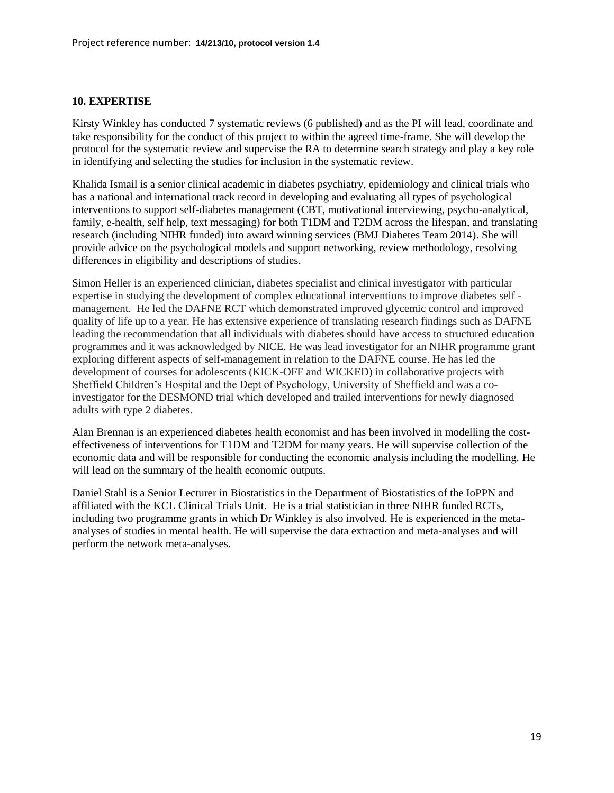#### **10. EXPERTISE**

Kirsty Winkley has conducted 7 systematic reviews (6 published) and as the PI will lead, coordinate and take responsibility for the conduct of this project to within the agreed time-frame. She will develop the protocol for the systematic review and supervise the RA to determine search strategy and play a key role in identifying and selecting the studies for inclusion in the systematic review.

Khalida Ismail is a senior clinical academic in diabetes psychiatry, epidemiology and clinical trials who has a national and international track record in developing and evaluating all types of psychological interventions to support self-diabetes management (CBT, motivational interviewing, psycho-analytical, family, e-health, self help, text messaging) for both T1DM and T2DM across the lifespan, and translating research (including NIHR funded) into award winning services (BMJ Diabetes Team 2014). She will provide advice on the psychological models and support networking, review methodology, resolving differences in eligibility and descriptions of studies.

Simon Heller is an experienced clinician, diabetes specialist and clinical investigator with particular expertise in studying the development of complex educational interventions to improve diabetes self management. He led the DAFNE RCT which demonstrated improved glycemic control and improved quality of life up to a year. He has extensive experience of translating research findings such as DAFNE leading the recommendation that all individuals with diabetes should have access to structured education programmes and it was acknowledged by NICE. He was lead investigator for an NIHR programme grant exploring different aspects of self-management in relation to the DAFNE course. He has led the development of courses for adolescents (KICK-OFF and WICKED) in collaborative projects with Sheffield Children's Hospital and the Dept of Psychology, University of Sheffield and was a coinvestigator for the DESMOND trial which developed and trailed interventions for newly diagnosed adults with type 2 diabetes.

Alan Brennan is an experienced diabetes health economist and has been involved in modelling the costeffectiveness of interventions for T1DM and T2DM for many years. He will supervise collection of the economic data and will be responsible for conducting the economic analysis including the modelling. He will lead on the summary of the health economic outputs.

Daniel Stahl is a Senior Lecturer in Biostatistics in the Department of Biostatistics of the IoPPN and affiliated with the KCL Clinical Trials Unit. He is a trial statistician in three NIHR funded RCTs, including two programme grants in which Dr Winkley is also involved. He is experienced in the metaanalyses of studies in mental health. He will supervise the data extraction and meta-analyses and will perform the network meta-analyses.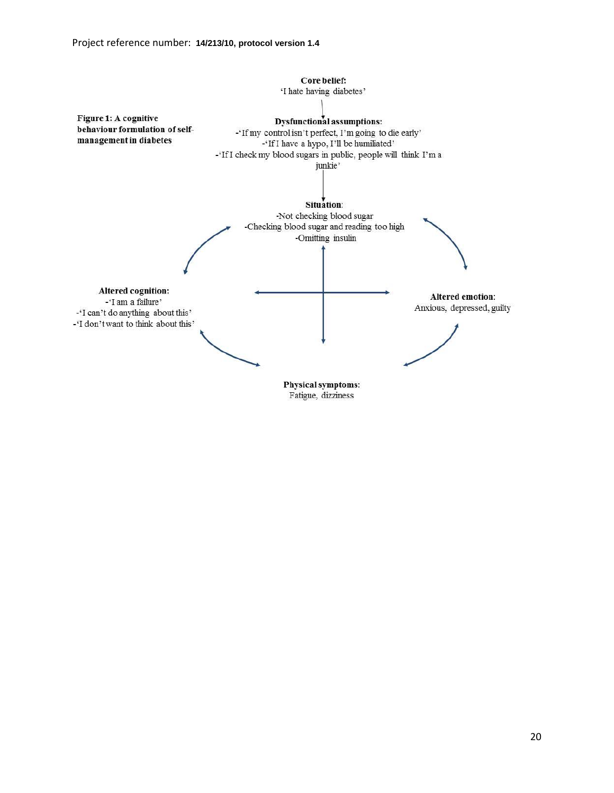

Fatigue, dizziness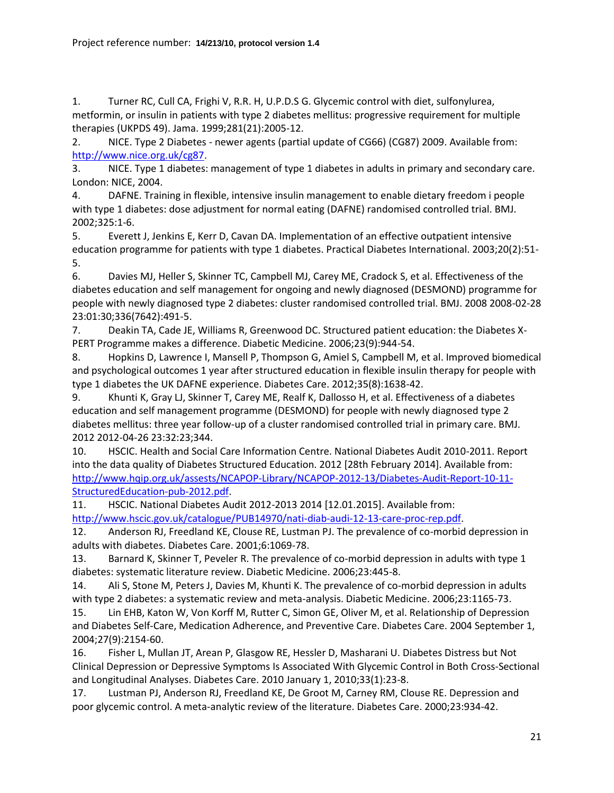<span id="page-20-0"></span>1. Turner RC, Cull CA, Frighi V, R.R. H, U.P.D.S G. Glycemic control with diet, sulfonylurea, metformin, or insulin in patients with type 2 diabetes mellitus: progressive requirement for multiple therapies (UKPDS 49). Jama. 1999;281(21):2005-12.

<span id="page-20-1"></span>2. NICE. Type 2 Diabetes - newer agents (partial update of CG66) (CG87) 2009. Available from: [http://www.nice.org.uk/cg87.](http://www.nice.org.uk/cg87)

<span id="page-20-2"></span>3. NICE. Type 1 diabetes: management of type 1 diabetes in adults in primary and secondary care. London: NICE, 2004.

<span id="page-20-3"></span>4. DAFNE. Training in flexible, intensive insulin management to enable dietary freedom i people with type 1 diabetes: dose adjustment for normal eating (DAFNE) randomised controlled trial. BMJ. 2002;325:1-6.

<span id="page-20-4"></span>5. Everett J, Jenkins E, Kerr D, Cavan DA. Implementation of an effective outpatient intensive education programme for patients with type 1 diabetes. Practical Diabetes International. 2003;20(2):51- 5.

<span id="page-20-5"></span>6. Davies MJ, Heller S, Skinner TC, Campbell MJ, Carey ME, Cradock S, et al. Effectiveness of the diabetes education and self management for ongoing and newly diagnosed (DESMOND) programme for people with newly diagnosed type 2 diabetes: cluster randomised controlled trial. BMJ. 2008 2008-02-28 23:01:30;336(7642):491-5.

<span id="page-20-6"></span>7. Deakin TA, Cade JE, Williams R, Greenwood DC. Structured patient education: the Diabetes X-PERT Programme makes a difference. Diabetic Medicine. 2006;23(9):944-54.

<span id="page-20-7"></span>8. Hopkins D, Lawrence I, Mansell P, Thompson G, Amiel S, Campbell M, et al. Improved biomedical and psychological outcomes 1 year after structured education in flexible insulin therapy for people with type 1 diabetes the UK DAFNE experience. Diabetes Care. 2012;35(8):1638-42.

<span id="page-20-8"></span>9. Khunti K, Gray LJ, Skinner T, Carey ME, Realf K, Dallosso H, et al. Effectiveness of a diabetes education and self management programme (DESMOND) for people with newly diagnosed type 2 diabetes mellitus: three year follow-up of a cluster randomised controlled trial in primary care. BMJ. 2012 2012-04-26 23:32:23;344.

<span id="page-20-9"></span>10. HSCIC. Health and Social Care Information Centre. National Diabetes Audit 2010-2011. Report into the data quality of Diabetes Structured Education. 2012 [28th February 2014]. Available from: [http://www.hqip.org.uk/assests/NCAPOP-Library/NCAPOP-2012-13/Diabetes-Audit-Report-10-11-](http://www.hqip.org.uk/assests/NCAPOP-Library/NCAPOP-2012-13/Diabetes-Audit-Report-10-11-StructuredEducation-pub-2012.pdf) [StructuredEducation-pub-2012.pdf.](http://www.hqip.org.uk/assests/NCAPOP-Library/NCAPOP-2012-13/Diabetes-Audit-Report-10-11-StructuredEducation-pub-2012.pdf)

<span id="page-20-10"></span>11. HSCIC. National Diabetes Audit 2012-2013 2014 [12.01.2015]. Available from: [http://www.hscic.gov.uk/catalogue/PUB14970/nati-diab-audi-12-13-care-proc-rep.pdf.](http://www.hscic.gov.uk/catalogue/PUB14970/nati-diab-audi-12-13-care-proc-rep.pdf)

<span id="page-20-11"></span>12. Anderson RJ, Freedland KE, Clouse RE, Lustman PJ. The prevalence of co-morbid depression in adults with diabetes. Diabetes Care. 2001;6:1069-78.

13. Barnard K, Skinner T, Peveler R. The prevalence of co-morbid depression in adults with type 1 diabetes: systematic literature review. Diabetic Medicine. 2006;23:445-8.

14. Ali S, Stone M, Peters J, Davies M, Khunti K. The prevalence of co-morbid depression in adults with type 2 diabetes: a systematic review and meta-analysis. Diabetic Medicine. 2006;23:1165-73.

<span id="page-20-12"></span>15. Lin EHB, Katon W, Von Korff M, Rutter C, Simon GE, Oliver M, et al. Relationship of Depression and Diabetes Self-Care, Medication Adherence, and Preventive Care. Diabetes Care. 2004 September 1, 2004;27(9):2154-60.

<span id="page-20-13"></span>16. Fisher L, Mullan JT, Arean P, Glasgow RE, Hessler D, Masharani U. Diabetes Distress but Not Clinical Depression or Depressive Symptoms Is Associated With Glycemic Control in Both Cross-Sectional and Longitudinal Analyses. Diabetes Care. 2010 January 1, 2010;33(1):23-8.

<span id="page-20-14"></span>17. Lustman PJ, Anderson RJ, Freedland KE, De Groot M, Carney RM, Clouse RE. Depression and poor glycemic control. A meta-analytic review of the literature. Diabetes Care. 2000;23:934-42.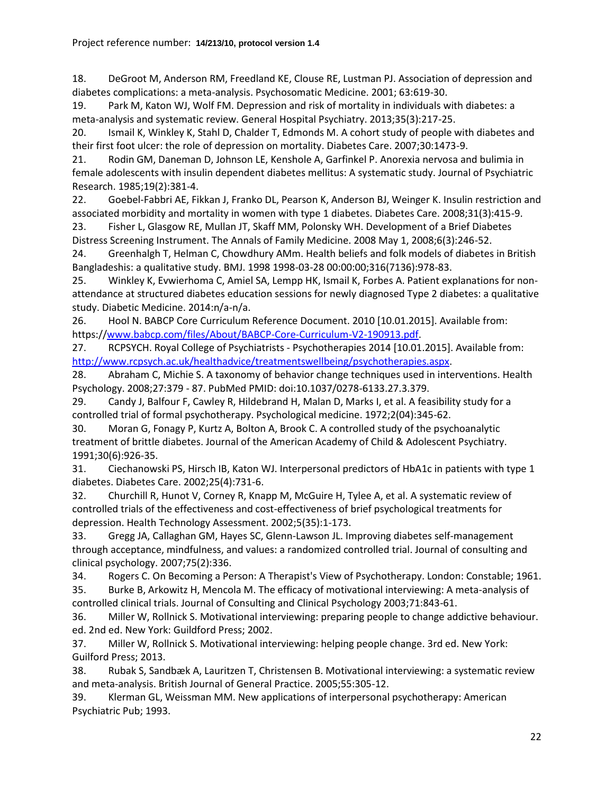<span id="page-21-0"></span>18. DeGroot M, Anderson RM, Freedland KE, Clouse RE, Lustman PJ. Association of depression and diabetes complications: a meta-analysis. Psychosomatic Medicine. 2001; 63:619-30.

<span id="page-21-1"></span>19. Park M, Katon WJ, Wolf FM. Depression and risk of mortality in individuals with diabetes: a meta-analysis and systematic review. General Hospital Psychiatry. 2013;35(3):217-25.

<span id="page-21-2"></span>20. Ismail K, Winkley K, Stahl D, Chalder T, Edmonds M. A cohort study of people with diabetes and their first foot ulcer: the role of depression on mortality. Diabetes Care. 2007;30:1473-9.

<span id="page-21-3"></span>21. Rodin GM, Daneman D, Johnson LE, Kenshole A, Garfinkel P. Anorexia nervosa and bulimia in female adolescents with insulin dependent diabetes mellitus: A systematic study. Journal of Psychiatric Research. 1985;19(2):381-4.

<span id="page-21-4"></span>22. Goebel-Fabbri AE, Fikkan J, Franko DL, Pearson K, Anderson BJ, Weinger K. Insulin restriction and associated morbidity and mortality in women with type 1 diabetes. Diabetes Care. 2008;31(3):415-9.

<span id="page-21-5"></span>23. Fisher L, Glasgow RE, Mullan JT, Skaff MM, Polonsky WH. Development of a Brief Diabetes Distress Screening Instrument. The Annals of Family Medicine. 2008 May 1, 2008;6(3):246-52.

<span id="page-21-6"></span>24. Greenhalgh T, Helman C, Chowdhury AMm. Health beliefs and folk models of diabetes in British Bangladeshis: a qualitative study. BMJ. 1998 1998-03-28 00:00:00;316(7136):978-83.

<span id="page-21-7"></span>25. Winkley K, Evwierhoma C, Amiel SA, Lempp HK, Ismail K, Forbes A. Patient explanations for nonattendance at structured diabetes education sessions for newly diagnosed Type 2 diabetes: a qualitative study. Diabetic Medicine. 2014:n/a-n/a.

<span id="page-21-8"></span>26. Hool N. BABCP Core Curriculum Reference Document. 2010 [10.01.2015]. Available from: https:/[/www.babcp.com/files/About/BABCP-Core-Curriculum-V2-190913.pdf.](http://www.babcp.com/files/About/BABCP-Core-Curriculum-V2-190913.pdf)

<span id="page-21-18"></span>27. RCPSYCH. Royal College of Psychiatrists - Psychotherapies 2014 [10.01.2015]. Available from: [http://www.rcpsych.ac.uk/healthadvice/treatmentswellbeing/psychotherapies.aspx.](http://www.rcpsych.ac.uk/healthadvice/treatmentswellbeing/psychotherapies.aspx)

28. Abraham C, Michie S. A taxonomy of behavior change techniques used in interventions. Health Psychology. 2008;27:379 - 87. PubMed PMID: doi:10.1037/0278-6133.27.3.379.

<span id="page-21-9"></span>29. Candy J, Balfour F, Cawley R, Hildebrand H, Malan D, Marks I, et al. A feasibility study for a controlled trial of formal psychotherapy. Psychological medicine. 1972;2(04):345-62.

30. Moran G, Fonagy P, Kurtz A, Bolton A, Brook C. A controlled study of the psychoanalytic treatment of brittle diabetes. Journal of the American Academy of Child & Adolescent Psychiatry. 1991;30(6):926-35.

31. Ciechanowski PS, Hirsch IB, Katon WJ. Interpersonal predictors of HbA1c in patients with type 1 diabetes. Diabetes Care. 2002;25(4):731-6.

<span id="page-21-10"></span>32. Churchill R, Hunot V, Corney R, Knapp M, McGuire H, Tylee A, et al. A systematic review of controlled trials of the effectiveness and cost-effectiveness of brief psychological treatments for depression. Health Technology Assessment. 2002;5(35):1-173.

<span id="page-21-11"></span>33. Gregg JA, Callaghan GM, Hayes SC, Glenn-Lawson JL. Improving diabetes self-management through acceptance, mindfulness, and values: a randomized controlled trial. Journal of consulting and clinical psychology. 2007;75(2):336.

<span id="page-21-12"></span>34. Rogers C. On Becoming a Person: A Therapist's View of Psychotherapy. London: Constable; 1961.

<span id="page-21-13"></span>35. Burke B, Arkowitz H, Mencola M. The efficacy of motivational interviewing: A meta-analysis of controlled clinical trials. Journal of Consulting and Clinical Psychology 2003;71:843-61.

<span id="page-21-14"></span>36. Miller W, Rollnick S. Motivational interviewing: preparing people to change addictive behaviour. ed. 2nd ed. New York: Guildford Press; 2002.

<span id="page-21-15"></span>37. Miller W, Rollnick S. Motivational interviewing: helping people change. 3rd ed. New York: Guilford Press; 2013.

<span id="page-21-16"></span>38. Rubak S, Sandbæk A, Lauritzen T, Christensen B. Motivational interviewing: a systematic review and meta-analysis. British Journal of General Practice. 2005;55:305-12.

<span id="page-21-17"></span>39. Klerman GL, Weissman MM. New applications of interpersonal psychotherapy: American Psychiatric Pub; 1993.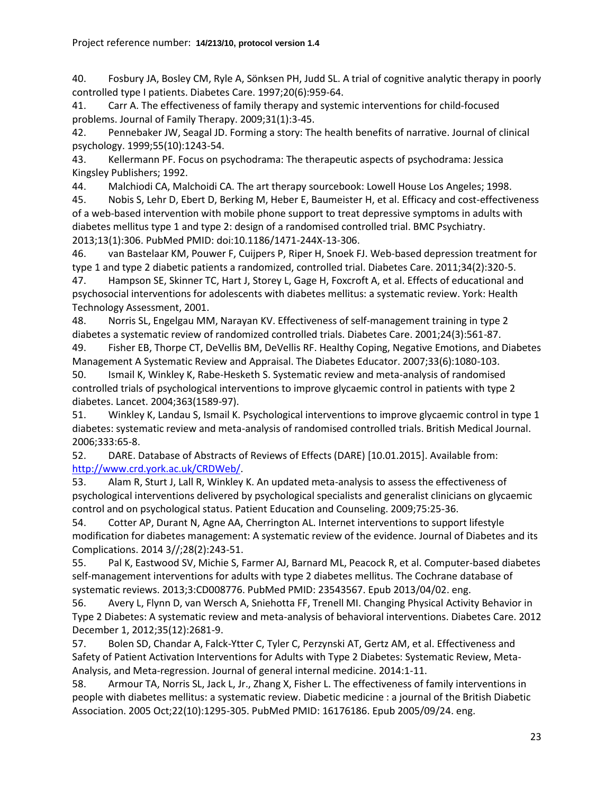<span id="page-22-0"></span>40. Fosbury JA, Bosley CM, Ryle A, Sönksen PH, Judd SL. A trial of cognitive analytic therapy in poorly controlled type I patients. Diabetes Care. 1997;20(6):959-64.

<span id="page-22-1"></span>41. Carr A. The effectiveness of family therapy and systemic interventions for child-focused problems. Journal of Family Therapy. 2009;31(1):3-45.

<span id="page-22-2"></span>42. Pennebaker JW, Seagal JD. Forming a story: The health benefits of narrative. Journal of clinical psychology. 1999;55(10):1243-54.

<span id="page-22-3"></span>43. Kellermann PF. Focus on psychodrama: The therapeutic aspects of psychodrama: Jessica Kingsley Publishers; 1992.

<span id="page-22-4"></span>44. Malchiodi CA, Malchoidi CA. The art therapy sourcebook: Lowell House Los Angeles; 1998.

<span id="page-22-5"></span>45. Nobis S, Lehr D, Ebert D, Berking M, Heber E, Baumeister H, et al. Efficacy and cost-effectiveness of a web-based intervention with mobile phone support to treat depressive symptoms in adults with diabetes mellitus type 1 and type 2: design of a randomised controlled trial. BMC Psychiatry. 2013;13(1):306. PubMed PMID: doi:10.1186/1471-244X-13-306.

<span id="page-22-6"></span>46. van Bastelaar KM, Pouwer F, Cuijpers P, Riper H, Snoek FJ. Web-based depression treatment for type 1 and type 2 diabetic patients a randomized, controlled trial. Diabetes Care. 2011;34(2):320-5.

<span id="page-22-7"></span>47. Hampson SE, Skinner TC, Hart J, Storey L, Gage H, Foxcroft A, et al. Effects of educational and psychosocial interventions for adolescents with diabetes mellitus: a systematic review. York: Health Technology Assessment, 2001.

48. Norris SL, Engelgau MM, Narayan KV. Effectiveness of self-management training in type 2 diabetes a systematic review of randomized controlled trials. Diabetes Care. 2001;24(3):561-87.

49. Fisher EB, Thorpe CT, DeVellis BM, DeVellis RF. Healthy Coping, Negative Emotions, and Diabetes Management A Systematic Review and Appraisal. The Diabetes Educator. 2007;33(6):1080-103.

<span id="page-22-8"></span>50. Ismail K, Winkley K, Rabe-Hesketh S. Systematic review and meta-analysis of randomised controlled trials of psychological interventions to improve glycaemic control in patients with type 2 diabetes. Lancet. 2004;363(1589-97).

<span id="page-22-9"></span>51. Winkley K, Landau S, Ismail K. Psychological interventions to improve glycaemic control in type 1 diabetes: systematic review and meta-analysis of randomised controlled trials. British Medical Journal. 2006;333:65-8.

<span id="page-22-10"></span>52. DARE. Database of Abstracts of Reviews of Effects (DARE) [10.01.2015]. Available from: [http://www.crd.york.ac.uk/CRDWeb/.](http://www.crd.york.ac.uk/CRDWeb/)

<span id="page-22-11"></span>53. Alam R, Sturt J, Lall R, Winkley K. An updated meta-analysis to assess the effectiveness of psychological interventions delivered by psychological specialists and generalist clinicians on glycaemic control and on psychological status. Patient Education and Counseling. 2009;75:25-36.

<span id="page-22-12"></span>54. Cotter AP, Durant N, Agne AA, Cherrington AL. Internet interventions to support lifestyle modification for diabetes management: A systematic review of the evidence. Journal of Diabetes and its Complications. 2014 3//;28(2):243-51.

<span id="page-22-13"></span>55. Pal K, Eastwood SV, Michie S, Farmer AJ, Barnard ML, Peacock R, et al. Computer-based diabetes self-management interventions for adults with type 2 diabetes mellitus. The Cochrane database of systematic reviews. 2013;3:CD008776. PubMed PMID: 23543567. Epub 2013/04/02. eng.

<span id="page-22-14"></span>56. Avery L, Flynn D, van Wersch A, Sniehotta FF, Trenell MI. Changing Physical Activity Behavior in Type 2 Diabetes: A systematic review and meta-analysis of behavioral interventions. Diabetes Care. 2012 December 1, 2012;35(12):2681-9.

<span id="page-22-15"></span>57. Bolen SD, Chandar A, Falck-Ytter C, Tyler C, Perzynski AT, Gertz AM, et al. Effectiveness and Safety of Patient Activation Interventions for Adults with Type 2 Diabetes: Systematic Review, Meta-Analysis, and Meta-regression. Journal of general internal medicine. 2014:1-11.

<span id="page-22-16"></span>58. Armour TA, Norris SL, Jack L, Jr., Zhang X, Fisher L. The effectiveness of family interventions in people with diabetes mellitus: a systematic review. Diabetic medicine : a journal of the British Diabetic Association. 2005 Oct;22(10):1295-305. PubMed PMID: 16176186. Epub 2005/09/24. eng.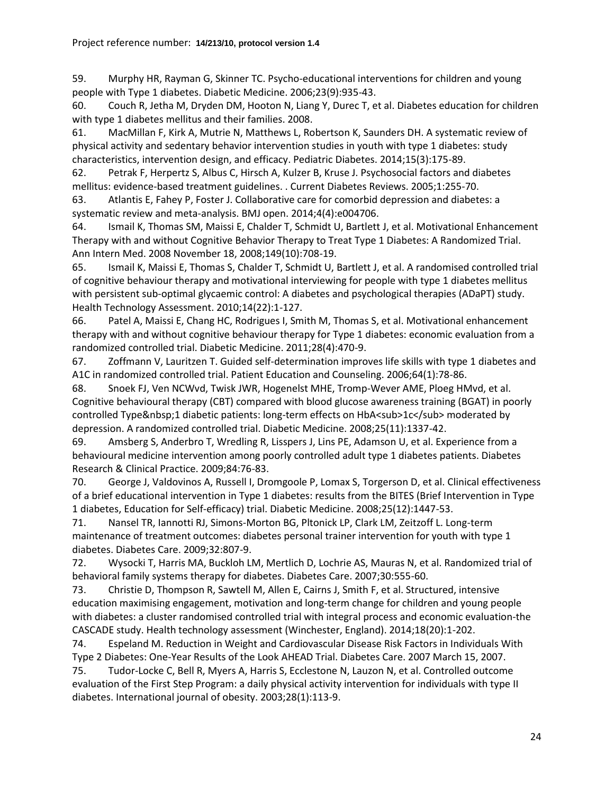<span id="page-23-0"></span>59. Murphy HR, Rayman G, Skinner TC. Psycho-educational interventions for children and young people with Type 1 diabetes. Diabetic Medicine. 2006;23(9):935-43.

<span id="page-23-1"></span>60. Couch R, Jetha M, Dryden DM, Hooton N, Liang Y, Durec T, et al. Diabetes education for children with type 1 diabetes mellitus and their families. 2008.

<span id="page-23-2"></span>61. MacMillan F, Kirk A, Mutrie N, Matthews L, Robertson K, Saunders DH. A systematic review of physical activity and sedentary behavior intervention studies in youth with type 1 diabetes: study characteristics, intervention design, and efficacy. Pediatric Diabetes. 2014;15(3):175-89.

<span id="page-23-3"></span>62. Petrak F, Herpertz S, Albus C, Hirsch A, Kulzer B, Kruse J. Psychosocial factors and diabetes mellitus: evidence-based treatment guidelines. . Current Diabetes Reviews. 2005;1:255-70.

<span id="page-23-4"></span>63. Atlantis E, Fahey P, Foster J. Collaborative care for comorbid depression and diabetes: a systematic review and meta-analysis. BMJ open. 2014;4(4):e004706.

<span id="page-23-5"></span>64. Ismail K, Thomas SM, Maissi E, Chalder T, Schmidt U, Bartlett J, et al. Motivational Enhancement Therapy with and without Cognitive Behavior Therapy to Treat Type 1 Diabetes: A Randomized Trial. Ann Intern Med. 2008 November 18, 2008;149(10):708-19.

65. Ismail K, Maissi E, Thomas S, Chalder T, Schmidt U, Bartlett J, et al. A randomised controlled trial of cognitive behaviour therapy and motivational interviewing for people with type 1 diabetes mellitus with persistent sub-optimal glycaemic control: A diabetes and psychological therapies (ADaPT) study. Health Technology Assessment. 2010;14(22):1-127.

<span id="page-23-12"></span>66. Patel A, Maissi E, Chang HC, Rodrigues I, Smith M, Thomas S, et al. Motivational enhancement therapy with and without cognitive behaviour therapy for Type 1 diabetes: economic evaluation from a randomized controlled trial. Diabetic Medicine. 2011;28(4):470-9.

<span id="page-23-6"></span>67. Zoffmann V, Lauritzen T. Guided self-determination improves life skills with type 1 diabetes and A1C in randomized controlled trial. Patient Education and Counseling. 2006;64(1):78-86.

68. Snoek FJ, Ven NCWvd, Twisk JWR, Hogenelst MHE, Tromp-Wever AME, Ploeg HMvd, et al. Cognitive behavioural therapy (CBT) compared with blood glucose awareness training (BGAT) in poorly controlled Type 1 diabetic patients: long-term effects on HbA<sub>1c</sub> moderated by depression. A randomized controlled trial. Diabetic Medicine. 2008;25(11):1337-42.

69. Amsberg S, Anderbro T, Wredling R, Lisspers J, Lins PE, Adamson U, et al. Experience from a behavioural medicine intervention among poorly controlled adult type 1 diabetes patients. Diabetes Research & Clinical Practice. 2009;84:76-83.

70. George J, Valdovinos A, Russell I, Dromgoole P, Lomax S, Torgerson D, et al. Clinical effectiveness of a brief educational intervention in Type 1 diabetes: results from the BITES (Brief Intervention in Type 1 diabetes, Education for Self‐efficacy) trial. Diabetic Medicine. 2008;25(12):1447-53.

<span id="page-23-7"></span>71. Nansel TR, Iannotti RJ, Simons-Morton BG, Pltonick LP, Clark LM, Zeitzoff L. Long-term maintenance of treatment outcomes: diabetes personal trainer intervention for youth with type 1 diabetes. Diabetes Care. 2009;32:807-9.

<span id="page-23-8"></span>72. Wysocki T, Harris MA, Buckloh LM, Mertlich D, Lochrie AS, Mauras N, et al. Randomized trial of behavioral family systems therapy for diabetes. Diabetes Care. 2007;30:555-60.

<span id="page-23-9"></span>73. Christie D, Thompson R, Sawtell M, Allen E, Cairns J, Smith F, et al. Structured, intensive education maximising engagement, motivation and long-term change for children and young people with diabetes: a cluster randomised controlled trial with integral process and economic evaluation-the CASCADE study. Health technology assessment (Winchester, England). 2014;18(20):1-202.

<span id="page-23-10"></span>74. Espeland M. Reduction in Weight and Cardiovascular Disease Risk Factors in Individuals With Type 2 Diabetes: One-Year Results of the Look AHEAD Trial. Diabetes Care. 2007 March 15, 2007.

<span id="page-23-11"></span>75. Tudor-Locke C, Bell R, Myers A, Harris S, Ecclestone N, Lauzon N, et al. Controlled outcome evaluation of the First Step Program: a daily physical activity intervention for individuals with type II diabetes. International journal of obesity. 2003;28(1):113-9.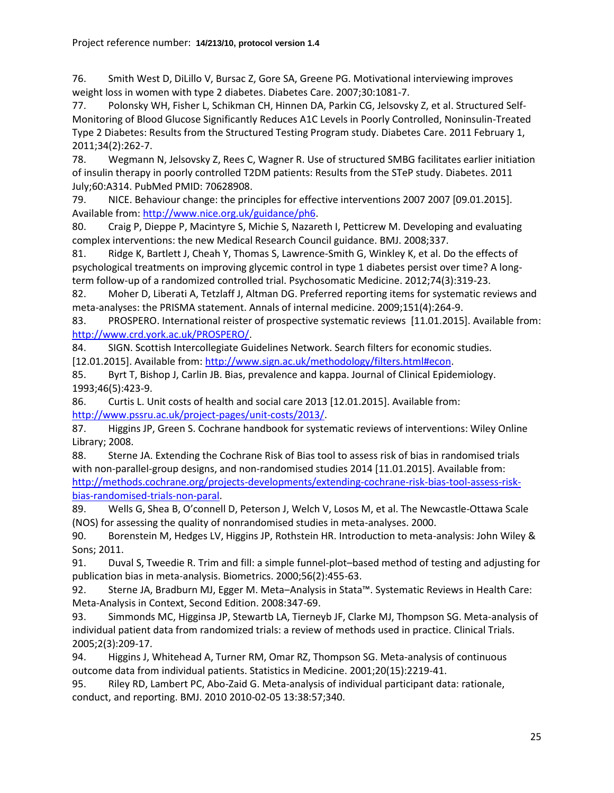<span id="page-24-0"></span>76. Smith West D, DiLillo V, Bursac Z, Gore SA, Greene PG. Motivational interviewing improves weight loss in women with type 2 diabetes. Diabetes Care. 2007;30:1081-7.

<span id="page-24-1"></span>77. Polonsky WH, Fisher L, Schikman CH, Hinnen DA, Parkin CG, Jelsovsky Z, et al. Structured Self-Monitoring of Blood Glucose Significantly Reduces A1C Levels in Poorly Controlled, Noninsulin-Treated Type 2 Diabetes: Results from the Structured Testing Program study. Diabetes Care. 2011 February 1, 2011;34(2):262-7.

<span id="page-24-2"></span>78. Wegmann N, Jelsovsky Z, Rees C, Wagner R. Use of structured SMBG facilitates earlier initiation of insulin therapy in poorly controlled T2DM patients: Results from the STeP study. Diabetes. 2011 July;60:A314. PubMed PMID: 70628908.

<span id="page-24-3"></span>79. NICE. Behaviour change: the principles for effective interventions 2007 2007 [09.01.2015]. Available from[: http://www.nice.org.uk/guidance/ph6.](http://www.nice.org.uk/guidance/ph6)

<span id="page-24-4"></span>80. Craig P, Dieppe P, Macintyre S, Michie S, Nazareth I, Petticrew M. Developing and evaluating complex interventions: the new Medical Research Council guidance. BMJ. 2008;337.

<span id="page-24-5"></span>81. Ridge K, Bartlett J, Cheah Y, Thomas S, Lawrence-Smith G, Winkley K, et al. Do the effects of psychological treatments on improving glycemic control in type 1 diabetes persist over time? A longterm follow-up of a randomized controlled trial. Psychosomatic Medicine. 2012;74(3):319-23.

<span id="page-24-6"></span>82. Moher D, Liberati A, Tetzlaff J, Altman DG. Preferred reporting items for systematic reviews and meta-analyses: the PRISMA statement. Annals of internal medicine. 2009;151(4):264-9.

<span id="page-24-7"></span>83. PROSPERO. International reister of prospective systematic reviews [11.01.2015]. Available from: [http://www.crd.york.ac.uk/PROSPERO/.](http://www.crd.york.ac.uk/PROSPERO/)

<span id="page-24-8"></span>84. SIGN. Scottish Intercollegiate Guidelines Network. Search filters for economic studies. [12.01.2015]. Available from[: http://www.sign.ac.uk/methodology/filters.html#econ.](http://www.sign.ac.uk/methodology/filters.html#econ)

<span id="page-24-9"></span>85. Byrt T, Bishop J, Carlin JB. Bias, prevalence and kappa. Journal of Clinical Epidemiology. 1993;46(5):423-9.

<span id="page-24-10"></span>86. Curtis L. Unit costs of health and social care 2013 [12.01.2015]. Available from: [http://www.pssru.ac.uk/project-pages/unit-costs/2013/.](http://www.pssru.ac.uk/project-pages/unit-costs/2013/)

<span id="page-24-11"></span>87. Higgins JP, Green S. Cochrane handbook for systematic reviews of interventions: Wiley Online Library; 2008.

<span id="page-24-12"></span>88. Sterne JA. Extending the Cochrane Risk of Bias tool to assess risk of bias in randomised trials with non-parallel-group designs, and non-randomised studies 2014 [11.01.2015]. Available from: [http://methods.cochrane.org/projects-developments/extending-cochrane-risk-bias-tool-assess-risk](http://methods.cochrane.org/projects-developments/extending-cochrane-risk-bias-tool-assess-risk-bias-randomised-trials-non-paral)[bias-randomised-trials-non-paral.](http://methods.cochrane.org/projects-developments/extending-cochrane-risk-bias-tool-assess-risk-bias-randomised-trials-non-paral)

<span id="page-24-13"></span>89. Wells G, Shea B, O'connell D, Peterson J, Welch V, Losos M, et al. The Newcastle-Ottawa Scale (NOS) for assessing the quality of nonrandomised studies in meta-analyses. 2000.

<span id="page-24-14"></span>90. Borenstein M, Hedges LV, Higgins JP, Rothstein HR. Introduction to meta-analysis: John Wiley & Sons; 2011.

<span id="page-24-15"></span>91. Duval S, Tweedie R. Trim and fill: a simple funnel‐plot–based method of testing and adjusting for publication bias in meta‐analysis. Biometrics. 2000;56(2):455-63.

<span id="page-24-16"></span>92. Sterne JA, Bradburn MJ, Egger M. Meta–Analysis in Stata™. Systematic Reviews in Health Care: Meta-Analysis in Context, Second Edition. 2008:347-69.

<span id="page-24-17"></span>93. Simmonds MC, Higginsa JP, Stewartb LA, Tierneyb JF, Clarke MJ, Thompson SG. Meta-analysis of individual patient data from randomized trials: a review of methods used in practice. Clinical Trials. 2005;2(3):209-17.

<span id="page-24-18"></span>94. Higgins J, Whitehead A, Turner RM, Omar RZ, Thompson SG. Meta-analysis of continuous outcome data from individual patients. Statistics in Medicine. 2001;20(15):2219-41.

<span id="page-24-19"></span>95. Riley RD, Lambert PC, Abo-Zaid G. Meta-analysis of individual participant data: rationale, conduct, and reporting. BMJ. 2010 2010-02-05 13:38:57;340.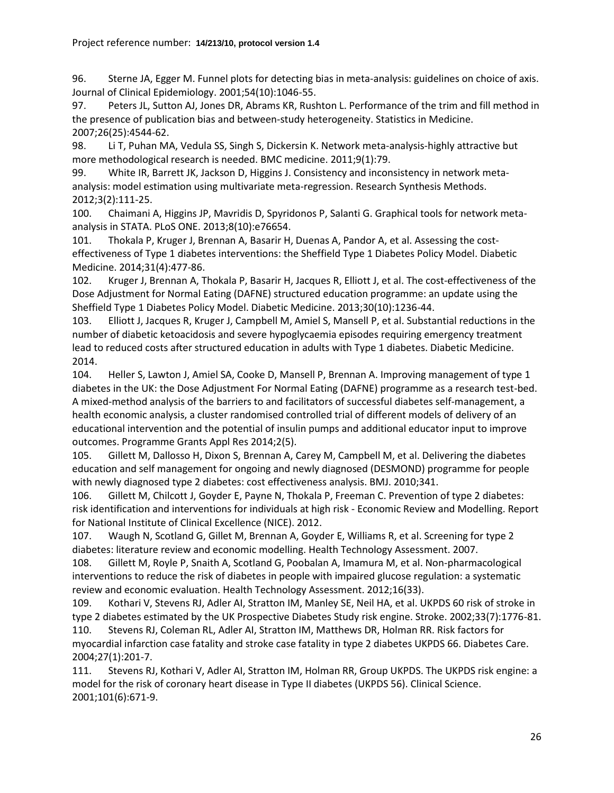<span id="page-25-0"></span>96. Sterne JA, Egger M. Funnel plots for detecting bias in meta-analysis: guidelines on choice of axis. Journal of Clinical Epidemiology. 2001;54(10):1046-55.

<span id="page-25-1"></span>97. Peters JL, Sutton AJ, Jones DR, Abrams KR, Rushton L. Performance of the trim and fill method in the presence of publication bias and between‐study heterogeneity. Statistics in Medicine. 2007;26(25):4544-62.

<span id="page-25-2"></span>98. Li T, Puhan MA, Vedula SS, Singh S, Dickersin K. Network meta-analysis-highly attractive but more methodological research is needed. BMC medicine. 2011;9(1):79.

<span id="page-25-3"></span>99. White IR, Barrett JK, Jackson D, Higgins J. Consistency and inconsistency in network metaanalysis: model estimation using multivariate meta-regression. Research Synthesis Methods. 2012;3(2):111-25.

<span id="page-25-4"></span>100. Chaimani A, Higgins JP, Mavridis D, Spyridonos P, Salanti G. Graphical tools for network metaanalysis in STATA. PLoS ONE. 2013;8(10):e76654.

<span id="page-25-5"></span>101. Thokala P, Kruger J, Brennan A, Basarir H, Duenas A, Pandor A, et al. Assessing the cost‐ effectiveness of Type 1 diabetes interventions: the Sheffield Type 1 Diabetes Policy Model. Diabetic Medicine. 2014;31(4):477-86.

<span id="page-25-6"></span>102. Kruger J, Brennan A, Thokala P, Basarir H, Jacques R, Elliott J, et al. The cost-effectiveness of the Dose Adjustment for Normal Eating (DAFNE) structured education programme: an update using the Sheffield Type 1 Diabetes Policy Model. Diabetic Medicine. 2013;30(10):1236-44.

103. Elliott J, Jacques R, Kruger J, Campbell M, Amiel S, Mansell P, et al. Substantial reductions in the number of diabetic ketoacidosis and severe hypoglycaemia episodes requiring emergency treatment lead to reduced costs after structured education in adults with Type 1 diabetes. Diabetic Medicine. 2014.

<span id="page-25-12"></span>104. Heller S, Lawton J, Amiel SA, Cooke D, Mansell P, Brennan A. Improving management of type 1 diabetes in the UK: the Dose Adjustment For Normal Eating (DAFNE) programme as a research test-bed. A mixed-method analysis of the barriers to and facilitators of successful diabetes self-management, a health economic analysis, a cluster randomised controlled trial of different models of delivery of an educational intervention and the potential of insulin pumps and additional educator input to improve outcomes. Programme Grants Appl Res 2014;2(5).

<span id="page-25-7"></span>105. Gillett M, Dallosso H, Dixon S, Brennan A, Carey M, Campbell M, et al. Delivering the diabetes education and self management for ongoing and newly diagnosed (DESMOND) programme for people with newly diagnosed type 2 diabetes: cost effectiveness analysis. BMJ. 2010;341.

<span id="page-25-8"></span>106. Gillett M, Chilcott J, Goyder E, Payne N, Thokala P, Freeman C. Prevention of type 2 diabetes: risk identification and interventions for individuals at high risk - Economic Review and Modelling. Report for National Institute of Clinical Excellence (NICE). 2012.

<span id="page-25-9"></span>107. Waugh N, Scotland G, Gillet M, Brennan A, Goyder E, Williams R, et al. Screening for type 2 diabetes: literature review and economic modelling. Health Technology Assessment. 2007.

<span id="page-25-10"></span>108. Gillett M, Royle P, Snaith A, Scotland G, Poobalan A, Imamura M, et al. Non-pharmacological interventions to reduce the risk of diabetes in people with impaired glucose regulation: a systematic review and economic evaluation. Health Technology Assessment. 2012;16(33).

<span id="page-25-11"></span>109. Kothari V, Stevens RJ, Adler AI, Stratton IM, Manley SE, Neil HA, et al. UKPDS 60 risk of stroke in type 2 diabetes estimated by the UK Prospective Diabetes Study risk engine. Stroke. 2002;33(7):1776-81. 110. Stevens RJ, Coleman RL, Adler AI, Stratton IM, Matthews DR, Holman RR. Risk factors for myocardial infarction case fatality and stroke case fatality in type 2 diabetes UKPDS 66. Diabetes Care. 2004;27(1):201-7.

111. Stevens RJ, Kothari V, Adler AI, Stratton IM, Holman RR, Group UKPDS. The UKPDS risk engine: a model for the risk of coronary heart disease in Type II diabetes (UKPDS 56). Clinical Science. 2001;101(6):671-9.